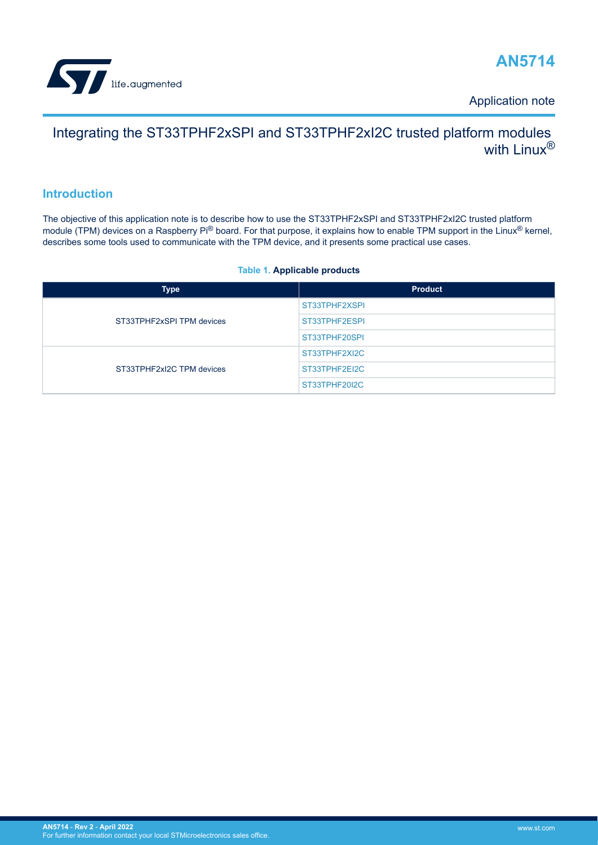<span id="page-0-0"></span>

Application note

# Integrating the ST33TPHF2xSPI and ST33TPHF2xI2C trusted platform modules with  $\mathsf{I}$  inux $\mathsf{R}$

## **Introduction**

The objective of this application note is to describe how to use the ST33TPHF2xSPI and ST33TPHF2xI2C trusted platform module (TPM) devices on a Raspberry Pi® board. For that purpose, it explains how to enable TPM support in the Linux® kernel, describes some tools used to communicate with the TPM device, and it presents some practical use cases.

## **Table 1. Applicable products**

| <b>Type</b>               | <b>Product</b> |
|---------------------------|----------------|
| ST33TPHF2xSPI TPM devices | ST33TPHF2XSPI  |
|                           | ST33TPHF2ESPI  |
|                           | ST33TPHF20SPI  |
| ST33TPHF2xI2C TPM devices | ST33TPHF2XI2C  |
|                           | ST33TPHF2EI2C  |
|                           | ST33TPHF20I2C  |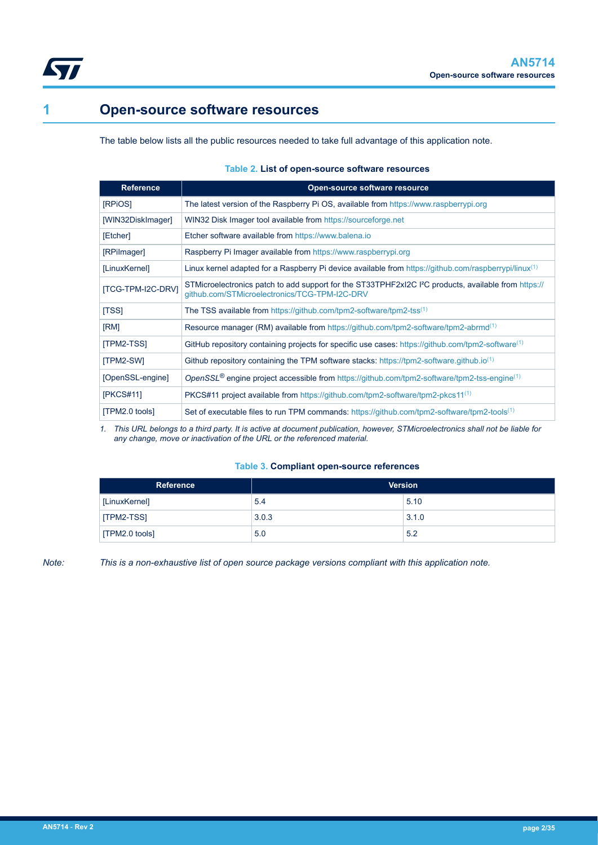<span id="page-1-0"></span>

# **1 Open-source software resources**

The table below lists all the public resources needed to take full advantage of this application note.

## **Table 2. List of open-source software resources**

| <b>Reference</b>         | Open-source software resource                                                                                                                                     |
|--------------------------|-------------------------------------------------------------------------------------------------------------------------------------------------------------------|
| [RPiOS]                  | The latest version of the Raspberry Pi OS, available from https://www.raspberrypi.org                                                                             |
| [WIN32DiskImager]        | WIN32 Disk Imager tool available from https://sourceforge.net                                                                                                     |
| [Etcher]                 | Etcher software available from https://www.balena.io                                                                                                              |
| [RPilmager]              | Raspberry Pi Imager available from https://www.raspberrypi.org                                                                                                    |
| [LinuxKernel]            | Linux kernel adapted for a Raspberry Pi device available from https://github.com/raspberrypi/linux <sup>(1)</sup>                                                 |
| <b>ITCG-TPM-I2C-DRVI</b> | STMicroelectronics patch to add support for the ST33TPHF2xI2C I <sup>2</sup> C products, available from https://<br>qithub.com/STMicroelectronics/TCG-TPM-I2C-DRV |
| [TSS]                    | The TSS available from https://github.com/tpm2-software/tpm2-tss <sup>(1)</sup>                                                                                   |
| [RM]                     | Resource manager (RM) available from https://github.com/tpm2-software/tpm2-abrmd <sup>(1)</sup>                                                                   |
| [TPM2-TSS]               | GitHub repository containing projects for specific use cases: https://github.com/tpm2-software <sup>(1)</sup>                                                     |
| [TPM2-SW]                | Github repository containing the TPM software stacks: https://tpm2-software.github.io <sup>(1)</sup>                                                              |
| [OpenSSL-engine]         | OpenSSL <sup>®</sup> engine project accessible from https://github.com/tpm2-software/tpm2-tss-engine <sup>(1)</sup>                                               |
| [PKCS#11]                | PKCS#11 project available from https://github.com/tpm2-software/tpm2-pkcs11 <sup>(1)</sup>                                                                        |
| [TPM2.0 tools]           | Set of executable files to run TPM commands: https://github.com/tpm2-software/tpm2-tools <sup>(1)</sup>                                                           |

*1. This URL belongs to a third party. It is active at document publication, however, STMicroelectronics shall not be liable for any change, move or inactivation of the URL or the referenced material.*

## **Table 3. Compliant open-source references**

| Reference      |       | <b>Version</b> |
|----------------|-------|----------------|
| [LinuxKernel]  | 5.4   | 5.10           |
| [TPM2-TSS]     | 3.0.3 | 3.1.0          |
| [TPM2.0 tools] | 5.0   | 5.2            |

*Note: This is a non-exhaustive list of open source package versions compliant with this application note.*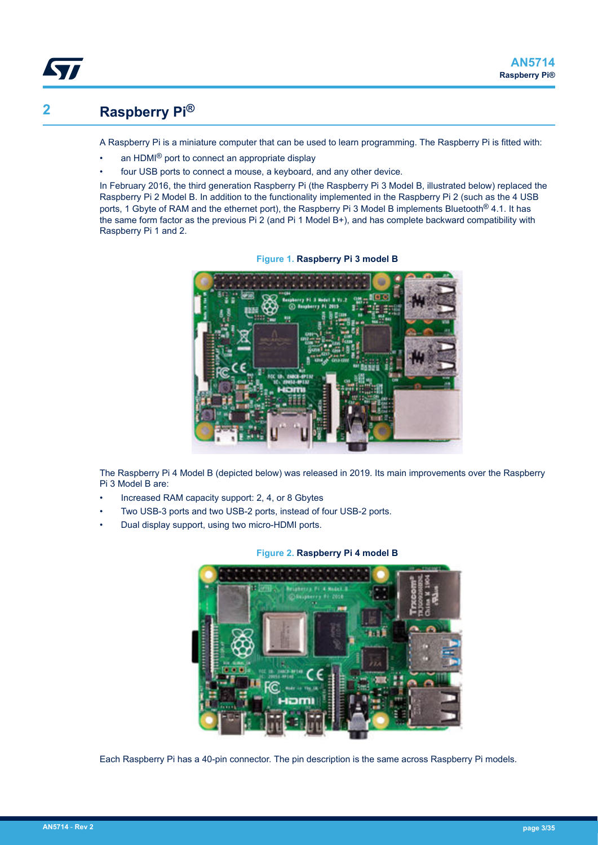# **2 Raspberry Pi®**

<span id="page-2-0"></span>ST

A Raspberry Pi is a miniature computer that can be used to learn programming. The Raspberry Pi is fitted with:

- an HDMI® port to connect an appropriate display
- four USB ports to connect a mouse, a keyboard, and any other device.

In February 2016, the third generation Raspberry Pi (the Raspberry Pi 3 Model B, illustrated below) replaced the Raspberry Pi 2 Model B. In addition to the functionality implemented in the Raspberry Pi 2 (such as the 4 USB ports, 1 Gbyte of RAM and the ethernet port), the Raspberry Pi 3 Model B implements Bluetooth® 4.1. It has the same form factor as the previous Pi 2 (and Pi 1 Model B+), and has complete backward compatibility with Raspberry Pi 1 and 2.



**Figure 1. Raspberry Pi 3 model B**

The Raspberry Pi 4 Model B (depicted below) was released in 2019. Its main improvements over the Raspberry Pi 3 Model B are:

- Increased RAM capacity support: 2, 4, or 8 Gbytes
- Two USB-3 ports and two USB-2 ports, instead of four USB-2 ports.
- Dual display support, using two micro-HDMI ports.



## **Figure 2. Raspberry Pi 4 model B**

Each Raspberry Pi has a 40-pin connector. The pin description is the same across Raspberry Pi models.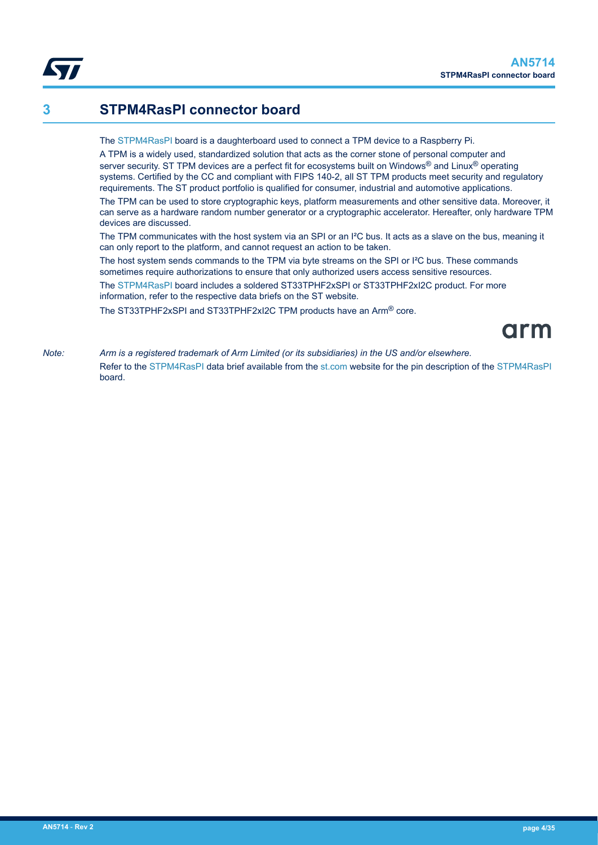## <span id="page-3-0"></span>**3 STPM4RasPI connector board**

#### The [STPM4RasPI](https://www.st.com/en/product/stpm4raspi?ecmp=tt9470_gl_link_feb2019&rt=an&id=AN5714) board is a daughterboard used to connect a TPM device to a Raspberry Pi.

A TPM is a widely used, standardized solution that acts as the corner stone of personal computer and server security. ST TPM devices are a perfect fit for ecosystems built on Windows® and Linux® operating systems. Certified by the CC and compliant with FIPS 140-2, all ST TPM products meet security and regulatory requirements. The ST product portfolio is qualified for consumer, industrial and automotive applications.

The TPM can be used to store cryptographic keys, platform measurements and other sensitive data. Moreover, it can serve as a hardware random number generator or a cryptographic accelerator. Hereafter, only hardware TPM devices are discussed.

The TPM communicates with the host system via an SPI or an I<sup>2</sup>C bus. It acts as a slave on the bus, meaning it can only report to the platform, and cannot request an action to be taken.

The host system sends commands to the TPM via byte streams on the SPI or I²C bus. These commands sometimes require authorizations to ensure that only authorized users access sensitive resources.

The [STPM4RasPI](https://www.st.com/en/product/stpm4raspi?ecmp=tt9470_gl_link_feb2019&rt=an&id=AN5714) board includes a soldered ST33TPHF2xSPI or ST33TPHF2xI2C product. For more information, refer to the respective data briefs on the ST website.

The ST33TPHF2xSPI and ST33TPHF2xI2C TPM products have an Arm® core.

# arm

*Note: Arm is a registered trademark of Arm Limited (or its subsidiaries) in the US and/or elsewhere.* Refer to the [STPM4RasPI](https://www.st.com/en/product/stpm4raspi?ecmp=tt9470_gl_link_feb2019&rt=an&id=AN5714) data brief available from the [st.com](https://www.st.com/) website for the pin description of the [STPM4RasPI](https://www.st.com/en/product/stpm4raspi?ecmp=tt9470_gl_link_feb2019&rt=an&id=AN5714) board.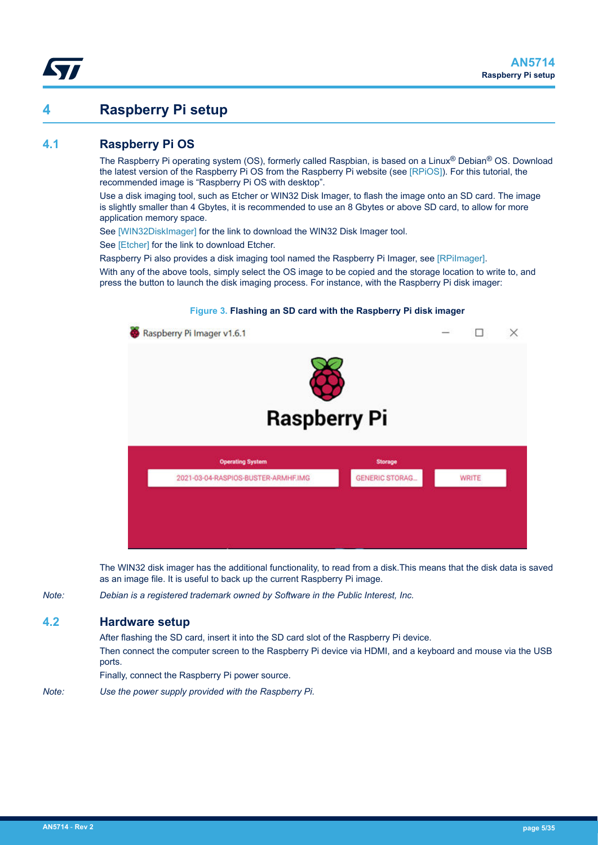## <span id="page-4-0"></span>**4 Raspberry Pi setup**

## **4.1 Raspberry Pi OS**

The Raspberry Pi operating system (OS), formerly called Raspbian, is based on a Linux® Debian® OS. Download the latest version of the Raspberry Pi OS from the Raspberry Pi website (see [\[RPiOS\]](#page-1-0)). For this tutorial, the recommended image is "Raspberry Pi OS with desktop".

Use a disk imaging tool, such as Etcher or WIN32 Disk Imager, to flash the image onto an SD card. The image is slightly smaller than 4 Gbytes, it is recommended to use an 8 Gbytes or above SD card, to allow for more application memory space.

See [\[WIN32DiskImager\]](#page-1-0) for the link to download the WIN32 Disk Imager tool.

See [\[Etcher\]](#page-1-0) for the link to download Etcher.

Raspberry Pi also provides a disk imaging tool named the Raspberry Pi Imager, see [\[RPiImager\].](#page-1-0)

With any of the above tools, simply select the OS image to be copied and the storage location to write to, and press the button to launch the disk imaging process. For instance, with the Raspberry Pi disk imager:



The WIN32 disk imager has the additional functionality, to read from a disk.This means that the disk data is saved as an image file. It is useful to back up the current Raspberry Pi image.

*Note: Debian is a registered trademark owned by Software in the Public Interest, Inc.*

## **4.2 Hardware setup**

After flashing the SD card, insert it into the SD card slot of the Raspberry Pi device. Then connect the computer screen to the Raspberry Pi device via HDMI, and a keyboard and mouse via the USB ports.

Finally, connect the Raspberry Pi power source.

*Note: Use the power supply provided with the Raspberry Pi.*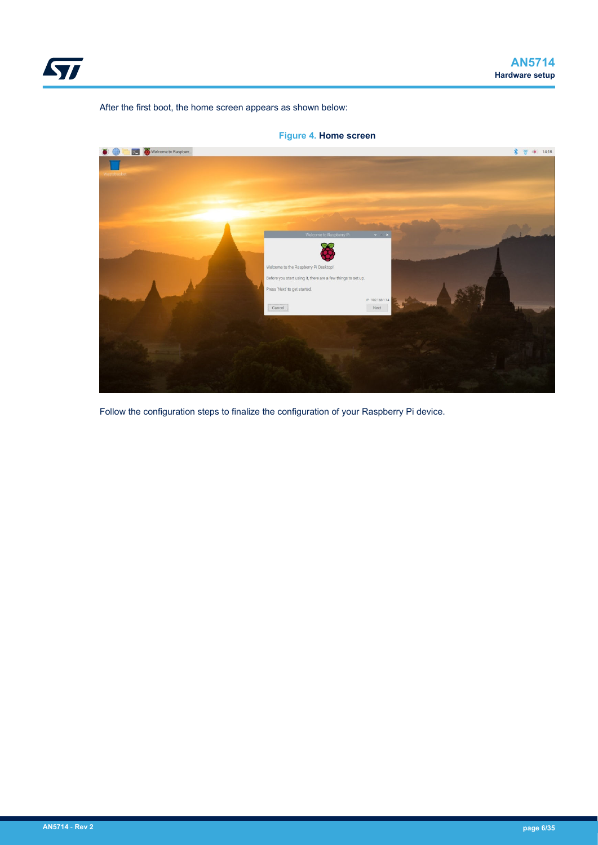<span id="page-5-0"></span>

After the first boot, the home screen appears as shown below:



**Figure 4. Home screen**

Follow the configuration steps to finalize the configuration of your Raspberry Pi device.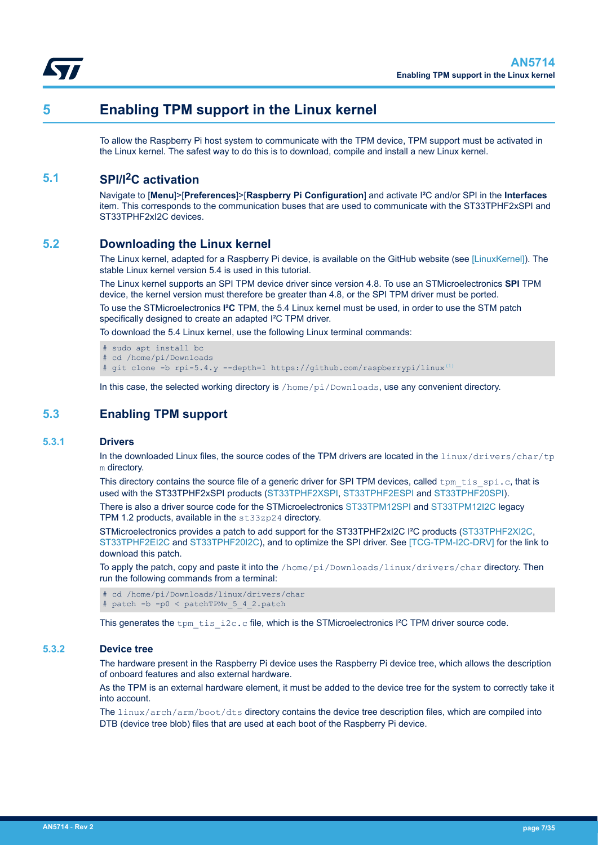<span id="page-6-0"></span>

## **5 Enabling TPM support in the Linux kernel**

To allow the Raspberry Pi host system to communicate with the TPM device, TPM support must be activated in the Linux kernel. The safest way to do this is to download, compile and install a new Linux kernel.

## **5.1 SPI/I2C activation**

Navigate to [**Menu**]>[**Preferences**]>[**Raspberry Pi Configuration**] and activate I²C and/or SPI in the **Interfaces** item. This corresponds to the communication buses that are used to communicate with the ST33TPHF2xSPI and ST33TPHF2xI2C devices.

## **5.2 Downloading the Linux kernel**

The Linux kernel, adapted for a Raspberry Pi device, is available on the GitHub website (see [\[LinuxKernel\]](#page-1-0)). The stable Linux kernel version 5.4 is used in this tutorial.

The Linux kernel supports an SPI TPM device driver since version 4.8. To use an STMicroelectronics **SPI** TPM device, the kernel version must therefore be greater than 4.8, or the SPI TPM driver must be ported.

To use the STMicroelectronics **I²C** TPM, the 5.4 Linux kernel must be used, in order to use the STM patch specifically designed to create an adapted I²C TPM driver.

To download the 5.4 Linux kernel, use the following Linux terminal commands:

- # sudo apt install bc
- cd /home/pi/Downloads

# git clone -b rpi-5.4.y --depth=1 https://github.com/raspberrypi/linux<sup>[\(1\)](#page-1-0)</sup>

In this case, the selected working directory is /home/pi/Downloads, use any convenient directory.

## **5.3 Enabling TPM support**

#### **5.3.1 Drivers**

In the downloaded Linux files, the source codes of the TPM drivers are located in the linux/drivers/char/tp m directory.

This directory contains the source file of a generic driver for SPI TPM devices, called  $tpm\_tis\_spin.c$ , that is used with the ST33TPHF2xSPI products [\(ST33TPHF2XSPI,](https://www.st.com/en/product/st33tphf2xspi?ecmp=tt9470_gl_link_feb2019&rt=an&id=AN5714) [ST33TPHF2ESPI](https://www.st.com/en/product/st33tphf2espi?ecmp=tt9470_gl_link_feb2019&rt=an&id=AN5714) and [ST33TPHF20SPI\)](https://www.st.com/en/product/st33tphf20spi?ecmp=tt9470_gl_link_feb2019&rt=an&id=AN5714).

There is also a driver source code for the STMicroelectronics [ST33TPM12SPI](https://www.st.com/en/product/ST33TPM12SPI?ecmp=tt9470_gl_link_feb2019&rt=an&id=AN5714) and [ST33TPM12I2C](https://www.st.com/en/product/st33tpm12i2c?ecmp=tt9470_gl_link_feb2019&rt=an&id=AN5714) legacy TPM 1.2 products, available in the st33zp24 directory.

STMicroelectronics provides a patch to add support for the ST33TPHF2xI2C I<sup>2</sup>C products [\(ST33TPHF2XI2C](https://www.st.com/en/product/st33tphf2xi2c?ecmp=tt9470_gl_link_feb2019&rt=an&id=AN5714), [ST33TPHF2EI2C](https://www.st.com/en/product/st33tphf2ei2c?ecmp=tt9470_gl_link_feb2019&rt=an&id=AN5714) and [ST33TPHF20I2C](https://www.st.com/en/product/st33tphf20i2c?ecmp=tt9470_gl_link_feb2019&rt=an&id=AN5714)), and to optimize the SPI driver. See [\[TCG-TPM-I2C-DRV\]](#page-1-0) for the link to download this patch.

To apply the patch, copy and paste it into the /home/pi/Downloads/linux/drivers/char directory. Then run the following commands from a terminal:

```
# cd /home/pi/Downloads/linux/drivers/char
# patch -b -p0 < patchTPMv_5_4_2.patch
```
This generates the tpm\_tis\_i2c.c file, which is the STMicroelectronics I<sup>2</sup>C TPM driver source code.

## **5.3.2 Device tree**

The hardware present in the Raspberry Pi device uses the Raspberry Pi device tree, which allows the description of onboard features and also external hardware.

As the TPM is an external hardware element, it must be added to the device tree for the system to correctly take it into account.

The linux/arch/arm/boot/dts directory contains the device tree description files, which are compiled into DTB (device tree blob) files that are used at each boot of the Raspberry Pi device.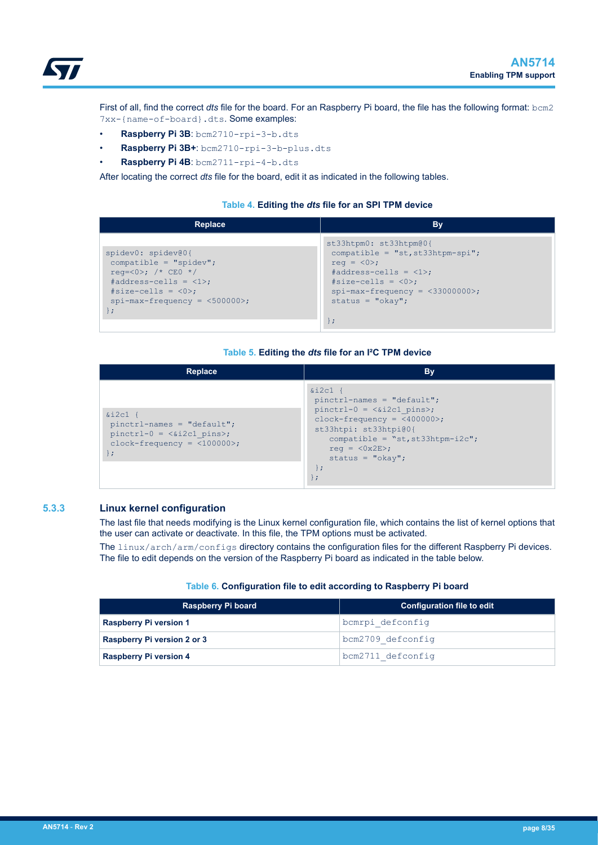<span id="page-7-0"></span>

First of all, find the correct *dts* file for the board. For an Raspberry Pi board, the file has the following format: bcm2 7xx-{name-of-board}.dts. Some examples:

- **Raspberry Pi 3B**: bcm2710-rpi-3-b.dts
- **Raspberry Pi 3B+**: bcm2710-rpi-3-b-plus.dts
- **Raspberry Pi 4B**: bcm2711-rpi-4-b.dts

After locating the correct *dts* file for the board, edit it as indicated in the following tables.

#### **Table 4. Editing the** *dts* **file for an SPI TPM device**

| Replace                                                                                                                                                                          | By                                                                                                                                                                                                                   |
|----------------------------------------------------------------------------------------------------------------------------------------------------------------------------------|----------------------------------------------------------------------------------------------------------------------------------------------------------------------------------------------------------------------|
| spidev0: spidev@0{<br>$compatible = "spidev";$<br>$req = <0>;$ /* CEO */<br>#address-cells = $\langle 1 \rangle$ ;<br>$#size-cells = <0>$ ;<br>$spin-max-frequency = <500000>$ ; | st33htpm0: st33htpm@0{<br>$compatible = "st, st33htpm-spi";$<br>req = $\langle 0 \rangle$ ;<br>$#address-cells = <1>$ ;<br>$#size-cells = <0>$ ;<br>$spin-max-frequency = <33000000>$ ;<br>status = $"okay";$<br>∤ ; |

#### **Table 5. Editing the** *dts* **file for an I²C TPM device**

| <b>Replace</b>                                                                                                               | By                                                                                                                                                                                                                           |
|------------------------------------------------------------------------------------------------------------------------------|------------------------------------------------------------------------------------------------------------------------------------------------------------------------------------------------------------------------------|
| $&\text{i2c1}$ {<br>$pinctr1-names = "default";$<br>$pinctrl-0 = \&il2cl pins>;$<br>$clock-frequency = <100000>$ ;<br>$\}$ ; | $&12c1$ {<br>$pinctr1-names = "default";$<br>$pinctrl-0 = \&i2c1 pins>;$<br>$clock-frequency = <400000$ ;<br>st33htpi: st33htpi@0{<br>compatible = $"st, st33htpm-i2c";$<br>$req = <0x2E$ ;<br>status = $"okay";$<br>$\cdot$ |

#### **5.3.3 Linux kernel configuration**

The last file that needs modifying is the Linux kernel configuration file, which contains the list of kernel options that the user can activate or deactivate. In this file, the TPM options must be activated.

The linux/arch/arm/configs directory contains the configuration files for the different Raspberry Pi devices. The file to edit depends on the version of the Raspberry Pi board as indicated in the table below.

## **Table 6. Configuration file to edit according to Raspberry Pi board**

| <b>Raspberry Pi board</b>     | <b>Configuration file to edit</b> |
|-------------------------------|-----------------------------------|
| <b>Raspberry Pi version 1</b> | bcmrpi defconfiq                  |
| Raspberry Pi version 2 or 3   | bcm2709 defconfig                 |
| <b>Raspberry Pi version 4</b> | bcm2711 defconfig                 |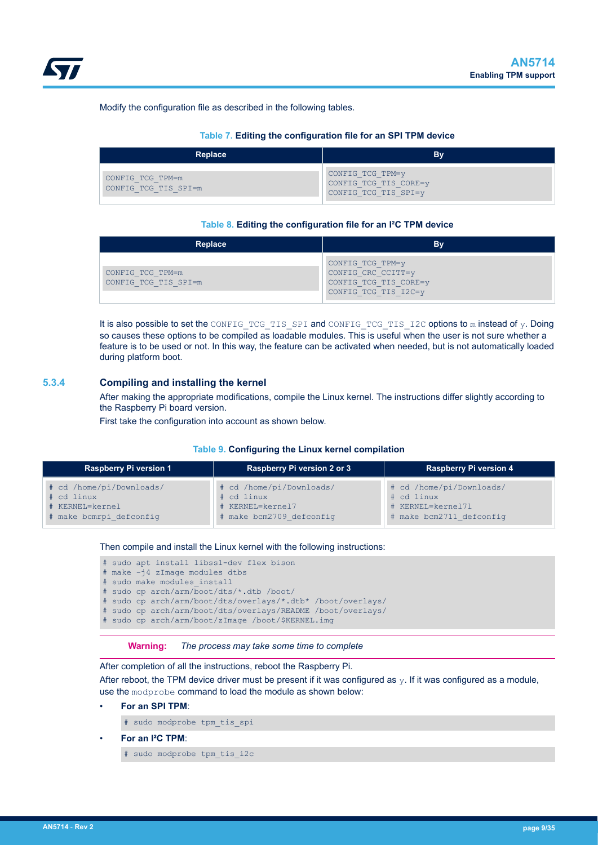#### <span id="page-8-0"></span>Modify the configuration file as described in the following tables.

#### **Table 7. Editing the configuration file for an SPI TPM device**

| Replace                                  | Bv                                                                |
|------------------------------------------|-------------------------------------------------------------------|
| CONFIG TCG TPM=m<br>CONFIG TCG TIS SPI=m | CONFIG TCG TPM=y<br>CONFIG TCG TIS CORE=y<br>CONFIG TCG TIS SPI=y |

#### **Table 8. Editing the configuration file for an I²C TPM device**

| Replace                                  | Bv                                                                                      |
|------------------------------------------|-----------------------------------------------------------------------------------------|
| CONFIG TCG TPM=m<br>CONFIG TCG TIS SPI=m | CONFIG TCG TPM=y<br>CONFIG CRC CCITT=y<br>CONFIG TCG TIS CORE=y<br>CONFIG TCG TIS I2C=y |

It is also possible to set the CONFIG TCG TIS SPI and CONFIG TCG TIS I2C options to m instead of y. Doing so causes these options to be compiled as loadable modules. This is useful when the user is not sure whether a feature is to be used or not. In this way, the feature can be activated when needed, but is not automatically loaded during platform boot.

#### **5.3.4 Compiling and installing the kernel**

After making the appropriate modifications, compile the Linux kernel. The instructions differ slightly according to the Raspberry Pi board version.

First take the configuration into account as shown below.

#### **Table 9. Configuring the Linux kernel compilation**

| <b>Raspberry Pi version 1</b> | Raspberry Pi version 2 or 3 | <b>Raspberry Pi version 4</b> |
|-------------------------------|-----------------------------|-------------------------------|
| # cd /home/pi/Downloads/      | # cd /home/pi/Downloads/    | # cd /home/pi/Downloads/      |
| # cd linux                    | # cd linux                  | # cd linux                    |
| # KERNEL=kernel               | # KERNEL=kernel7            | # KERNEL=kernel71             |
| # make bcmrpi defconfiq       | # make bcm2709 defconfig    | # make bcm2711 defconfig      |

Then compile and install the Linux kernel with the following instructions:

# sudo apt install libssl-dev flex bison

# make -j4 zImage modules dtbs

```
# sudo make modules install
```
# sudo cp arch/arm/boot/dts/\*.dtb /boot/

# sudo cp arch/arm/boot/dts/overlays/\*.dtb\* /boot/overlays/

# sudo cp arch/arm/boot/dts/overlays/README /boot/overlays/

sudo cp arch/arm/boot/zImage /boot/\$KERNEL.img

**Warning:** *The process may take some time to complete*

After completion of all the instructions, reboot the Raspberry Pi.

After reboot, the TPM device driver must be present if it was configured as  $y$ . If it was configured as a module, use the modprobe command to load the module as shown below:

• **For an SPI TPM**:

# sudo modprobe tpm\_tis\_spi

• **For an I²C TPM**:

# sudo modprobe tpm\_tis\_i2c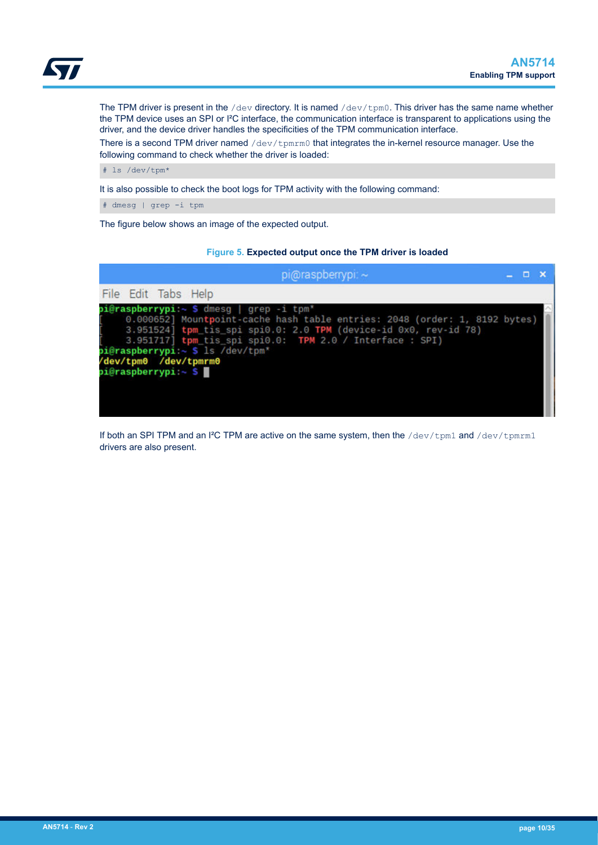<span id="page-9-0"></span>The TPM driver is present in the /dev directory. It is named /dev/tpm0. This driver has the same name whether the TPM device uses an SPI or I²C interface, the communication interface is transparent to applications using the driver, and the device driver handles the specificities of the TPM communication interface.

There is a second TPM driver named  $/\text{dev}/\text{tpmrm}$  that integrates the in-kernel resource manager. Use the following command to check whether the driver is loaded:

# ls /dev/tpm\*

It is also possible to check the boot logs for TPM activity with the following command:

# dmesg | grep -i tpm

The figure below shows an image of the expected output.

## **Figure 5. Expected output once the TPM driver is loaded**



If both an SPI TPM and an I<sup>2</sup>C TPM are active on the same system, then the /dev/tpm1 and /dev/tpmrm1 drivers are also present.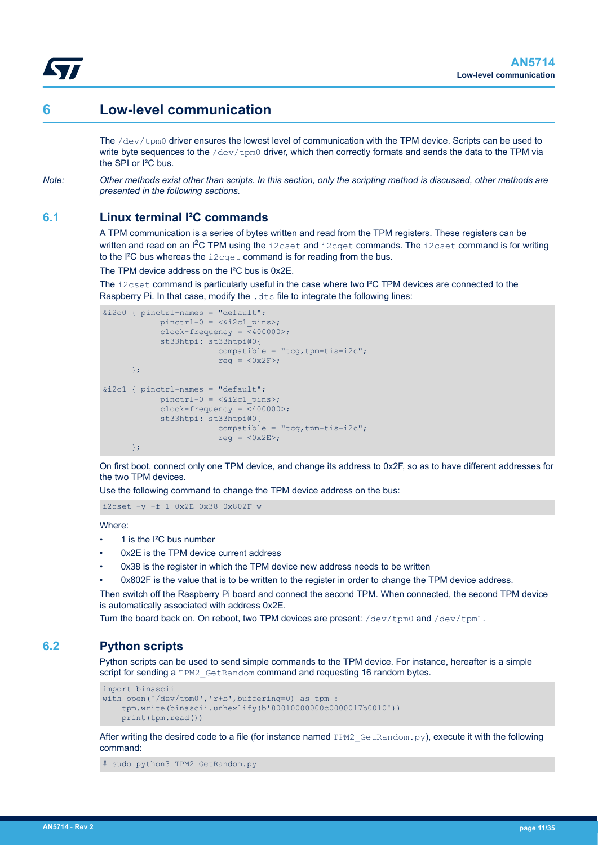<span id="page-10-0"></span>

## **6 Low-level communication**

The /dev/tpm0 driver ensures the lowest level of communication with the TPM device. Scripts can be used to write byte sequences to the  $/$ dev $/$ tom0 driver, which then correctly formats and sends the data to the TPM via the SPI or I²C bus.

*Note: Other methods exist other than scripts. In this section, only the scripting method is discussed, other methods are presented in the following sections.*

## **6.1 Linux terminal I²C commands**

A TPM communication is a series of bytes written and read from the TPM registers. These registers can be written and read on an  ${}^{12}C$  TPM using the i2cset and i2cget commands. The i2cset command is for writing to the I²C bus whereas the i2cget command is for reading from the bus.

The TPM device address on the I²C bus is 0x2E.

The i2cset command is particularly useful in the case where two I²C TPM devices are connected to the Raspberry Pi. In that case, modify the . dts file to integrate the following lines:

```
&i2c0 { pinctrl-names = "default";
             pinctr1-0 = <i>&lt;</i>2c1 pins; clock-frequency = <400000>;
              st33htpi: st33htpi@0{
                          compatible = "tcq, tpm-tis-i2c";
                          reg = <0x2F;
        };
\text{size1} { pinctrl-names = "default";
             pinctr1-0 = <i>&lt;</i>2c1 pins;clock-frequency = \sqrt{400000};
              st33htpi: st33htpi@0{
                          comparable = "tcq, tpm-tis-i2c";reg = <0x2E>;
        };
```
On first boot, connect only one TPM device, and change its address to 0x2F, so as to have different addresses for the two TPM devices.

Use the following command to change the TPM device address on the bus:

i2cset –y –f 1 0x2E 0x38 0x802F w

Where:

- 1 is the I²C bus number
- 0x2F is the TPM device current address
- 0x38 is the register in which the TPM device new address needs to be written
- 0x802F is the value that is to be written to the register in order to change the TPM device address.

Then switch off the Raspberry Pi board and connect the second TPM. When connected, the second TPM device is automatically associated with address 0x2E.

Turn the board back on. On reboot, two TPM devices are present: /dev/tpm0 and /dev/tpm1.

## **6.2 Python scripts**

Python scripts can be used to send simple commands to the TPM device. For instance, hereafter is a simple script for sending a TPM2\_GetRandom command and requesting 16 random bytes.

```
import binascii
with open('/dev/tpm0','r+b',buffering=0) as tpm :
     tpm.write(binascii.unhexlify(b'80010000000c0000017b0010'))
     print(tpm.read())
```
After writing the desired code to a file (for instance named TPM2\_GetRandom.py), execute it with the following command:

```
# sudo python3 TPM2_GetRandom.py
```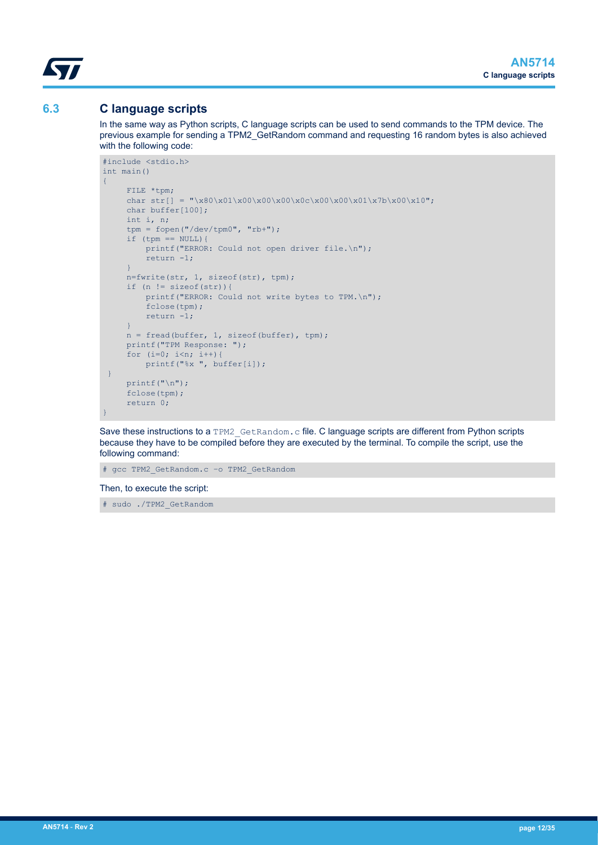<span id="page-11-0"></span>

## **6.3 C language scripts**

In the same way as Python scripts, C language scripts can be used to send commands to the TPM device. The previous example for sending a TPM2\_GetRandom command and requesting 16 random bytes is also achieved with the following code:

```
#include <stdio.h>
int main()
{
      FILE *tpm;
     char str[] = "\x80\x01\x00\x00\x00\x00\x00\x00\x01\x7b\x00\x10";
      char buffer[100];
      int i, n;
      tpm = fopen("/dev/tpm0", "rb+");
     if (tpm == NULL) {
         printf("ERROR: Could not open driver file.\n");
           return -1;
      }
      n=fwrite(str, 1, sizeof(str), tpm);
     if (n != sizeof(str)){
         printf("ERROR: Could not write bytes to TPM.\n");
           fclose(tpm);
          return -1;
      }
     n = \text{freq}(\text{buffer}, 1, \text{sizeof}(\text{buffer}), \text{tmp});
      printf("TPM Response: ");
     for (i=0; i \le n; i++) {
         printf("%x ", buffer[i]);
  }
     printf("n");
      fclose(tpm);
      return 0;
}
```
Save these instructions to a TPM2 GetRandom.c file. C language scripts are different from Python scripts because they have to be compiled before they are executed by the terminal. To compile the script, use the following command:

# gcc TPM2\_GetRandom.c –o TPM2\_GetRandom

Then, to execute the script:

# sudo ./TPM2\_GetRandom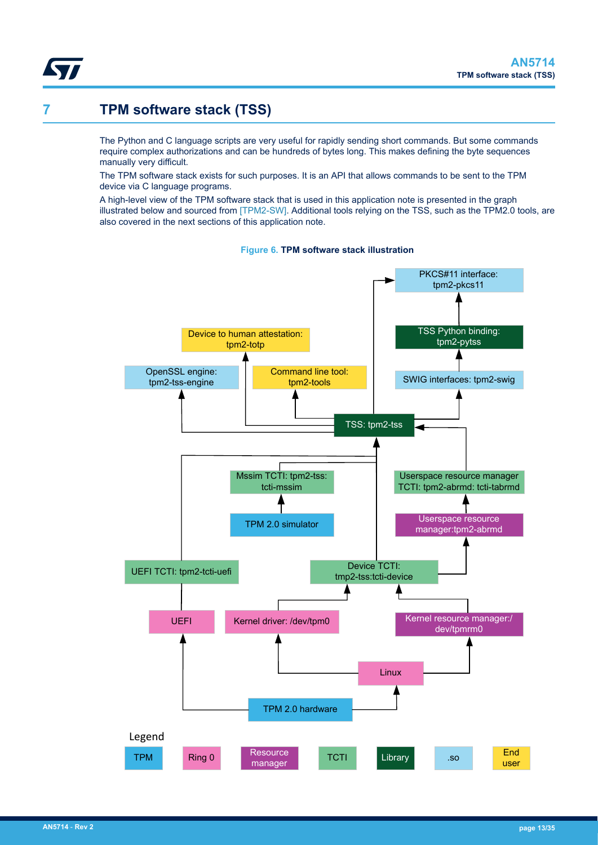<span id="page-12-0"></span>

## **7 TPM software stack (TSS)**

The Python and C language scripts are very useful for rapidly sending short commands. But some commands require complex authorizations and can be hundreds of bytes long. This makes defining the byte sequences manually very difficult.

The TPM software stack exists for such purposes. It is an API that allows commands to be sent to the TPM device via C language programs.

A high-level view of the TPM software stack that is used in this application note is presented in the graph illustrated below and sourced from [\[TPM2-SW\]](#page-1-0). Additional tools relying on the TSS, such as the TPM2.0 tools, are also covered in the next sections of this application note.



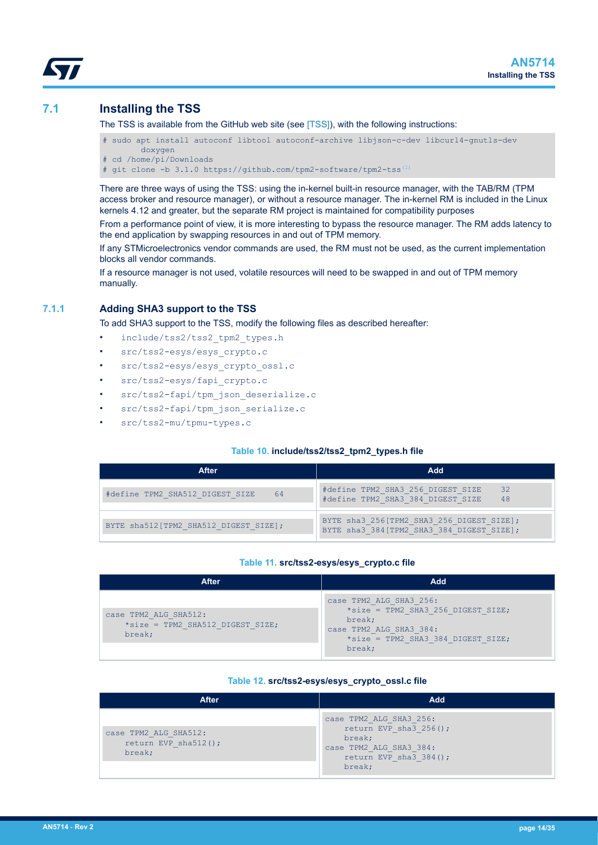## <span id="page-13-0"></span>**7.1 Installing the TSS**

The TSS is available from the GitHub web site (see [\[TSS\]](#page-1-0)), with the following instructions:

- # sudo apt install autoconf libtool autoconf-archive libjson-c-dev libcurl4-gnutls-dev doxygen
- # cd /home/pi/Downloads
- # git clone -b 3.1.0 https://github.com/tpm2-software/tpm2-tss[\(1\)](#page-1-0)

There are three ways of using the TSS: using the in-kernel built-in resource manager, with the TAB/RM (TPM access broker and resource manager), or without a resource manager. The in-kernel RM is included in the Linux kernels 4.12 and greater, but the separate RM project is maintained for compatibility purposes

From a performance point of view, it is more interesting to bypass the resource manager. The RM adds latency to the end application by swapping resources in and out of TPM memory.

If any STMicroelectronics vendor commands are used, the RM must not be used, as the current implementation blocks all vendor commands.

If a resource manager is not used, volatile resources will need to be swapped in and out of TPM memory manually.

## **7.1.1 Adding SHA3 support to the TSS**

To add SHA3 support to the TSS, modify the following files as described hereafter:

- include/tss2/tss2\_tpm2\_types.h
- src/tss2-esys/esys\_crypto.c
- src/tss2-esys/esys\_crypto\_ossl.c
- src/tss2-esys/fapi\_crypto.c
- src/tss2-fapi/tpm\_json\_deserialize.c
- src/tss2-fapi/tpm\_json\_serialize.c
- src/tss2-mu/tpmu-types.c

#### **Table 10. include/tss2/tss2\_tpm2\_types.h file**

| After                                 | Add                                                                                     |
|---------------------------------------|-----------------------------------------------------------------------------------------|
| #define TPM2 SHA512 DIGEST SIZE<br>64 | #define TPM2 SHA3 256 DIGEST SIZE<br>32<br>#define TPM2 SHA3 384 DIGEST SIZE<br>48      |
| BYTE sha512[TPM2 SHA512 DIGEST SIZE]; | BYTE sha3 256[TPM2 SHA3 256 DIGEST SIZE];<br>BYTE sha3 384 [TPM2 SHA3 384 DIGEST SIZE]; |

#### **Table 11. src/tss2-esys/esys\_crypto.c file**

| <b>After</b>                                                        | Add                                                                                                                                                |
|---------------------------------------------------------------------|----------------------------------------------------------------------------------------------------------------------------------------------------|
| case TPM2 ALG SHA512:<br>*size = TPM2 SHA512 DIGEST SIZE;<br>break; | case TPM2 ALG SHA3 256:<br>*size = TPM2 SHA3 256 DIGEST SIZE;<br>break;<br>case TPM2 ALG SHA3 384:<br>*size = TPM2 SHA3 384 DIGEST SIZE;<br>break; |

#### **Table 12. src/tss2-esys/esys\_crypto\_ossl.c file**

| <b>After</b>                                                | Add                                                                                                                           |
|-------------------------------------------------------------|-------------------------------------------------------------------------------------------------------------------------------|
| case TPM2 ALG SHA512:<br>return EVP sha $512()$ ;<br>break; | case TPM2 ALG SHA3 256:<br>return EVP sha3 $256()$ ;<br>break;<br>case TPM2 ALG SHA3 384:<br>return EVP sha3 384();<br>break; |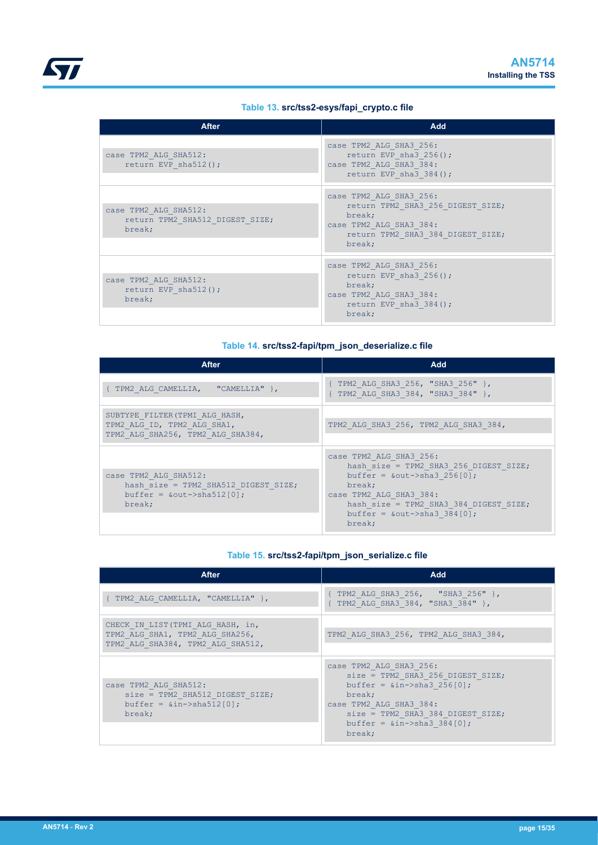<span id="page-14-0"></span>

## **Table 13. src/tss2-esys/fapi\_crypto.c file**

| <b>After</b>                                                       | Add                                                                                                                                              |
|--------------------------------------------------------------------|--------------------------------------------------------------------------------------------------------------------------------------------------|
| case TPM2 ALG SHA512:<br>return EVP sha512();                      | case TPM2 ALG SHA3 256:<br>return EVP sha3 $256()$ ;<br>case TPM2 ALG SHA3 384:<br>return EVP sha $3\,384()$ ;                                   |
| case TPM2 ALG SHA512:<br>return TPM2 SHA512 DIGEST SIZE;<br>break; | case TPM2 ALG SHA3 256:<br>return TPM2 SHA3 256 DIGEST SIZE;<br>break;<br>case TPM2 ALG SHA3 384:<br>return TPM2 SHA3 384 DIGEST SIZE;<br>break; |
| case TPM2 ALG SHA512:<br>return EVP sha512();<br>break;            | case TPM2 ALG SHA3 256:<br>return EVP sha3 $256()$ ;<br>break;<br>case TPM2 ALG SHA3 384:<br>return EVP sha3 $384()$ ;<br>break;                 |

## **Table 14. src/tss2-fapi/tpm\_json\_deserialize.c file**

| After                                                                                                        | Add                                                                                                                                                                                                                              |
|--------------------------------------------------------------------------------------------------------------|----------------------------------------------------------------------------------------------------------------------------------------------------------------------------------------------------------------------------------|
| TPM2 ALG CAMELLIA, "CAMELLIA" },                                                                             | { TPM2 ALG SHA3 256, "SHA3 256" },<br>{ TPM2 ALG SHA3 384, "SHA3 384" },                                                                                                                                                         |
| SUBTYPE FILTER (TPMI ALG HASH,<br>TPM2 ALG ID, TPM2 ALG SHA1,<br>TPM2 ALG SHA256, TPM2 ALG SHA384,           | TPM2 ALG SHA3 256, TPM2 ALG SHA3 384,                                                                                                                                                                                            |
| case TPM2 ALG SHA512:<br>hash size = TPM2 SHA512 DIGEST SIZE;<br>buffer = $\&$ out->sha512 $[0]$ ;<br>break; | case TPM2 ALG SHA3 256:<br>hash size = TPM2 SHA3 256 DIGEST SIZE;<br>buffer = $\&$ out->sha3 256[0];<br>break;<br>case TPM2 ALG SHA3 384:<br>hash size = TPM2 SHA3 384 DIGEST SIZE;<br>buffer = $\&$ out->sha3 384[0];<br>break; |

## **Table 15. src/tss2-fapi/tpm\_json\_serialize.c file**

| <b>After</b>                                                                                                   | Add                                                                                                                                                                                                                  |
|----------------------------------------------------------------------------------------------------------------|----------------------------------------------------------------------------------------------------------------------------------------------------------------------------------------------------------------------|
| TPM2 ALG CAMELLIA, "CAMELLIA" },                                                                               | TPM2 ALG SHA3 256, "SHA3 256" },<br>TPM2 ALG SHA3 384, "SHA3 384" },                                                                                                                                                 |
| CHECK IN LIST (TPMI ALG HASH, in,<br>TPM2 ALG SHA1, TPM2 ALG SHA256,<br>TPM2 ALG SHA384, TPM2 ALG SHA512,      | TPM2 ALG SHA3 256, TPM2 ALG SHA3 384,                                                                                                                                                                                |
| case TPM2 ALG SHA512:<br>$size = TPM2$ SHA512 DIGEST SIZE;<br>$buffer =$ $\sin\{-\}\$ $\sin\{12[0];$<br>break; | case TPM2 ALG SHA3 256:<br>size = TPM2 SHA3 256 DIGEST SIZE;<br>buffer = $\sin$ ->sha3 256[0];<br>break;<br>case TPM2 ALG SHA3 384:<br>size = TPM2 SHA3 384 DIGEST SIZE;<br>buffer = $\sin$ ->sha3 384[0];<br>break; |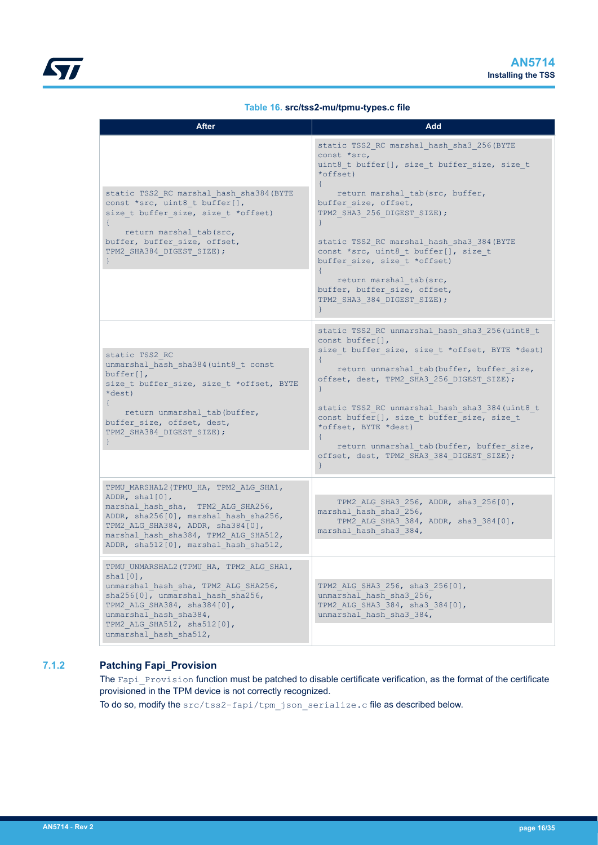## **Table 16. src/tss2-mu/tpmu-types.c file**

<span id="page-15-0"></span>

| <b>After</b>                                                                                                                                                                                                                                                      | Add                                                                                                                                                                                                                                                                                                                                                                                                                           |
|-------------------------------------------------------------------------------------------------------------------------------------------------------------------------------------------------------------------------------------------------------------------|-------------------------------------------------------------------------------------------------------------------------------------------------------------------------------------------------------------------------------------------------------------------------------------------------------------------------------------------------------------------------------------------------------------------------------|
| static TSS2 RC marshal hash sha384 (BYTE<br>const *src, uint8 t buffer[],<br>size t buffer size, size t *offset)<br>return marshal tab(src,<br>buffer, buffer size, offset,<br>TPM2 SHA384 DIGEST SIZE);                                                          | static TSS2 RC marshal hash sha3 256(BYTE<br>const *src,<br>uint8 t buffer[], size t buffer size, size t<br>*offset)<br>return marshal tab(src, buffer,<br>buffer size, offset,<br>TPM2 SHA3 256 DIGEST SIZE);<br>static TSS2_RC marshal_hash_sha3_384(BYTE<br>const *src, uint8 t buffer[], size t<br>buffer size, size t *offset)<br>return marshal tab(src,<br>buffer, buffer size, offset,<br>TPM2 SHA3 384 DIGEST SIZE); |
|                                                                                                                                                                                                                                                                   | static TSS2 RC unmarshal hash sha3 256(uint8 t                                                                                                                                                                                                                                                                                                                                                                                |
| static TSS2 RC<br>unmarshal hash sha384 (uint8 t const<br>$buffer[]$ ,<br>size t buffer size, size t *offset, BYTE<br>*dest)<br>€<br>return unmarshal tab (buffer,<br>buffer size, offset, dest,<br>TPM2 SHA384 DIGEST SIZE);                                     | const buffer[],<br>size t buffer size, size t *offset, BYTE *dest)<br>return unmarshal tab (buffer, buffer size,<br>offset, dest, TPM2 SHA3 256 DIGEST SIZE);<br>static TSS2 RC unmarshal hash sha3 384 (uint8 t<br>const buffer[], size t buffer size, size t<br>*offset, BYTE *dest)<br>return unmarshal tab(buffer, buffer size,<br>offset, dest, TPM2 SHA3 384 DIGEST SIZE);<br>}                                         |
| TPMU MARSHAL2 (TPMU HA, TPM2 ALG SHA1,<br>ADDR, $shal[0]$ ,<br>marshal hash sha, TPM2 ALG SHA256,<br>ADDR, sha256[0], marshal hash sha256,<br>TPM2 ALG SHA384, ADDR, sha384[0],<br>marshal hash sha384, TPM2 ALG SHA512,<br>ADDR, sha512[0], marshal hash sha512, | TPM2 ALG SHA3 256, ADDR, sha3 256[0],<br>marshal hash sha3 256,<br>TPM2 ALG SHA3 384, ADDR, sha3 384[0],<br>marshal hash sha3 384,                                                                                                                                                                                                                                                                                            |
| TPMU UNMARSHAL2 (TPMU HA, TPM2 ALG SHA1,<br>$shal[0]$ ,<br>unmarshal hash sha, TPM2 ALG SHA256,<br>sha256[0], unmarshal hash sha256,<br>TPM2 ALG SHA384, sha384[0],<br>unmarshal hash sha384,<br>TPM2 ALG SHA512, sha512[0],<br>unmarshal hash sha512,            | TPM2 ALG SHA3 256, sha3 256[0],<br>unmarshal hash sha3 256,<br>TPM2 ALG SHA3 384, sha3 384[0],<br>unmarshal hash sha3 384,                                                                                                                                                                                                                                                                                                    |

## **7.1.2 Patching Fapi\_Provision**

The Fapi Provision function must be patched to disable certificate verification, as the format of the certificate provisioned in the TPM device is not correctly recognized.

To do so, modify the src/tss2-fapi/tpm\_json\_serialize.c file as described below.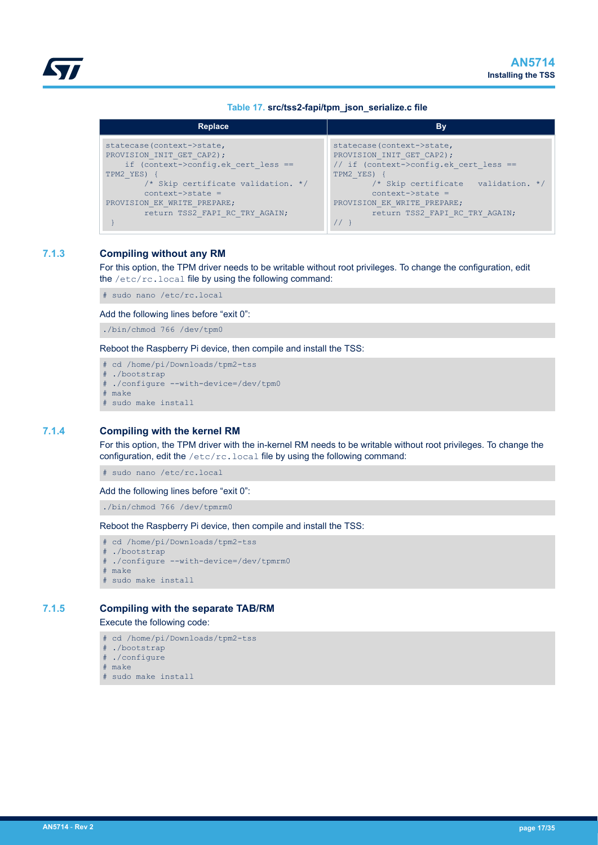| Table 17. src/tss2-fapi/tpm_json_serialize.c file |  |  |
|---------------------------------------------------|--|--|
|                                                   |  |  |

<span id="page-16-0"></span>

| Replace                             | By                                     |
|-------------------------------------|----------------------------------------|
| statecase(context->state,           | statecase (context->state,             |
| PROVISION INIT GET CAP2);           | PROVISION INIT GET CAP2);              |
| if (context->config.ek cert less == | // if (context->config.ek cert less == |
| TPM2 YES)                           | TPM2 YES)                              |
| /* Skip certificate validation. */  | /* Skip certificate validation. */     |
| $context\rightarrow state$ =        | $context$ ->state =                    |
| PROVISION EK WRITE PREPARE;         | PROVISION EK WRITE PREPARE;            |
| return TSS2 FAPI RC TRY AGAIN;      | return TSS2 FAPI RC TRY AGAIN;         |

## **7.1.3 Compiling without any RM**

For this option, the TPM driver needs to be writable without root privileges. To change the configuration, edit the /etc/rc.local file by using the following command:

# sudo nano /etc/rc.local

#### Add the following lines before "exit 0":

./bin/chmod 766 /dev/tpm0

Reboot the Raspberry Pi device, then compile and install the TSS:

```
# cd /home/pi/Downloads/tpm2-tss
```

```
# ./bootstrap
```
- # ./configure --with-device=/dev/tpm0
- # make
- # sudo make install

## **7.1.4 Compiling with the kernel RM**

For this option, the TPM driver with the in-kernel RM needs to be writable without root privileges. To change the configuration, edit the  $/etc/rc$ . local file by using the following command:

# sudo nano /etc/rc.local

## Add the following lines before "exit 0":

./bin/chmod 766 /dev/tpmrm0

Reboot the Raspberry Pi device, then compile and install the TSS:

```
# cd /home/pi/Downloads/tpm2-tss
```

```
# ./bootstrap
```
- # ./configure --with-device=/dev/tpmrm0
- # make
- # sudo make install

## **7.1.5 Compiling with the separate TAB/RM**

#### Execute the following code:

```
# cd /home/pi/Downloads/tpm2-tss
```
- # ./bootstrap
- # ./configure
- # make
- # sudo make install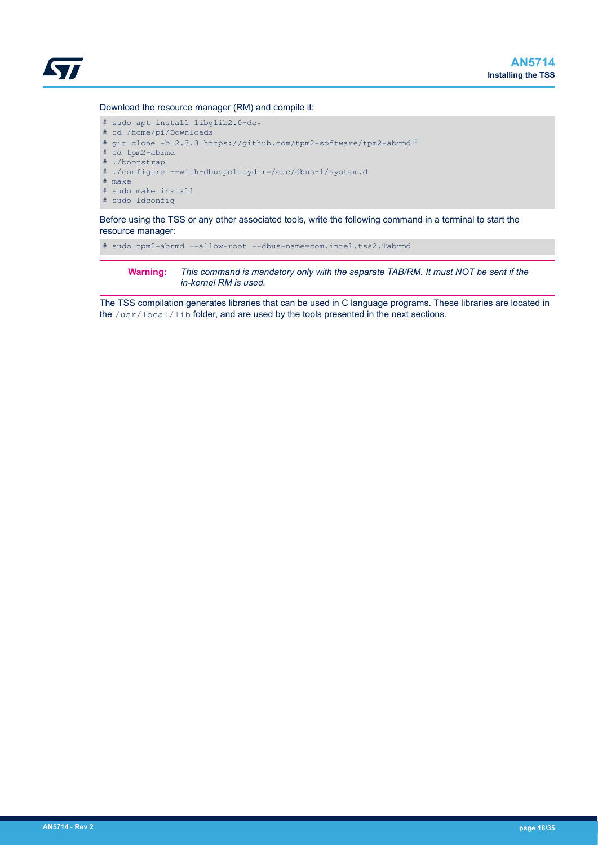

#### Download the resource manager (RM) and compile it:

```
# sudo apt install libglib2.0-dev 
# cd /home/pi/Downloads
# git clone -b 2.3.3 https://github.com/tpm2-software/tpm2-abrmd(1)
# cd tpm2-abrmd
# ./bootstrap
 ./configure --with-dbuspolicydir=/etc/dbus-1/system.d
# make
# sudo make install
# sudo ldconfig
```
Before using the TSS or any other associated tools, write the following command in a terminal to start the resource manager:

# sudo tpm2-abrmd –-allow-root --dbus-name=com.intel.tss2.Tabrmd

**Warning:** *This command is mandatory only with the separate TAB/RM. It must NOT be sent if the in-kernel RM is used.*

The TSS compilation generates libraries that can be used in C language programs. These libraries are located in the /usr/local/lib folder, and are used by the tools presented in the next sections.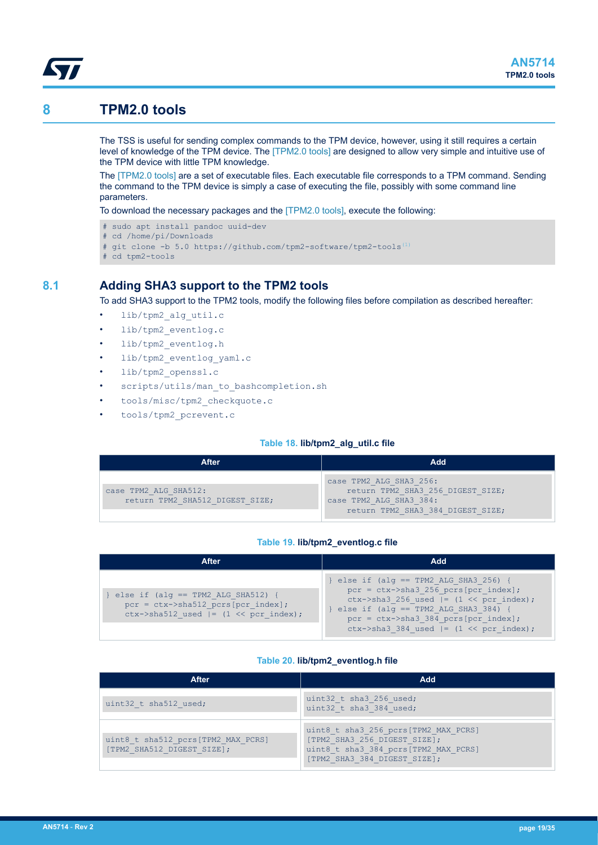## **8 TPM2.0 tools**

<span id="page-18-0"></span>W

The TSS is useful for sending complex commands to the TPM device, however, using it still requires a certain level of knowledge of the TPM device. The [\[TPM2.0 tools\]](#page-1-0) are designed to allow very simple and intuitive use of the TPM device with little TPM knowledge.

The [\[TPM2.0 tools\]](#page-1-0) are a set of executable files. Each executable file corresponds to a TPM command. Sending the command to the TPM device is simply a case of executing the file, possibly with some command line parameters.

To download the necessary packages and the [\[TPM2.0 tools\]](#page-1-0), execute the following:

- # sudo apt install pandoc uuid-dev
- # cd /home/pi/Downloads
- # git clone -b 5.0 https://github.com/tpm2-software/tpm2-tools<sup>[\(1\)](#page-1-0)</sup>
- # cd tpm2-tools

## **8.1 Adding SHA3 support to the TPM2 tools**

To add SHA3 support to the TPM2 tools, modify the following files before compilation as described hereafter:

- lib/tpm2 alg\_util.c
- lib/tpm2 eventlog.c
- lib/tpm2\_eventlog.h
- lib/tpm2\_eventlog\_yaml.c
- lib/tpm2\_openssl.c
- scripts/utils/man\_to\_bashcompletion.sh
- tools/misc/tpm2\_checkquote.c
- tools/tpm2\_pcrevent.c

#### **Table 18. lib/tpm2\_alg\_util.c file**

| After                                                    | Add                                                                                                                          |
|----------------------------------------------------------|------------------------------------------------------------------------------------------------------------------------------|
| case TPM2 ALG SHA512:<br>return TPM2 SHA512 DIGEST SIZE; | case TPM2 ALG SHA3 256:<br>return TPM2 SHA3 256 DIGEST SIZE;<br>case TPM2 ALG SHA3 384:<br>return TPM2 SHA3 384 DIGEST SIZE; |

#### **Table 19. lib/tpm2\_eventlog.c file**

| After                                                                                                                    | Add                                                                                                                                                                                                                                                               |
|--------------------------------------------------------------------------------------------------------------------------|-------------------------------------------------------------------------------------------------------------------------------------------------------------------------------------------------------------------------------------------------------------------|
| else if $(alq == TPM2 ALG SHA512)$<br>$pcr = ctx->sha512 pcrs[pcr index];$<br>ctx->sha512 used $ = (1 \lt < pcr$ index); | $\}$ else if (alq == TPM2 ALG SHA3 256) {<br>$pcr = ctx->sha3 256 pcrs[pcr index];$<br>ctx->sha3 256 used $ =$ (1 << pcr index);<br>} else if (alq == TPM2 ALG SHA3 384) {<br>$pcr = ctx->sha3 384 pcrs[pcr index];$<br>ctx->sha3 384 used $ =$ (1 << pcr index); |

#### **Table 20. lib/tpm2\_eventlog.h file**

| <b>After</b>                                                     | Add                                                                                                                                          |
|------------------------------------------------------------------|----------------------------------------------------------------------------------------------------------------------------------------------|
| uint32 t sha512 used;                                            | uint32 t sha3 256 used;<br>uint32 t sha3 384 used;                                                                                           |
| uint8 t sha512 pcrs[TPM2 MAX PCRS]<br>[TPM2 SHA512 DIGEST SIZE]; | uint8 t sha3 256 pcrs[TPM2 MAX PCRS]<br>[TPM2 SHA3 256 DIGEST SIZE];<br>uint8 t sha3 384 pcrs[TPM2 MAX PCRS]<br>[TPM2 SHA3 384 DIGEST SIZE]; |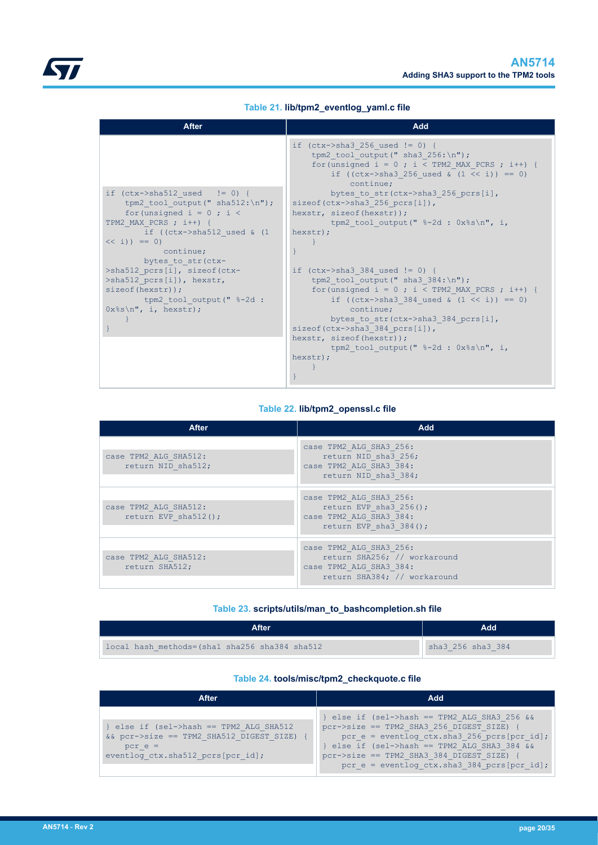|  | Table 21. lib/tpm2_eventlog_yaml.c file |
|--|-----------------------------------------|
|  |                                         |

<span id="page-19-0"></span>

| <b>After</b>                                                                                                   | Add                                                                                                                                                                                                  |
|----------------------------------------------------------------------------------------------------------------|------------------------------------------------------------------------------------------------------------------------------------------------------------------------------------------------------|
|                                                                                                                | if $(ctx->sha3 256 used != 0)$ {<br>tpm2 tool output (" sha3 $256:\n$ ");<br>for (unsigned $i = 0$ ; $i < TPM2$ MAX PCRS; $i + j$ {<br>if ((ctx->sha3 256 used & $(1 \lt\lt i)$ ) == 0)<br>continue: |
| if $(ctx->sha512$ used $!= 0)$ {<br>tpm2 tool output (" sha512: $\n\cdot$ ");<br>for (unsigned $i = 0$ ; $i <$ | bytes to str(ctx->sha3 256 pcrs[i],<br>sizeof(ctx->sha3 256 pcrs $[i]$ ),<br>hexstr, sizeof(hexstr));                                                                                                |
| TPM2 MAX PCRS $; i++)$ {<br>if ((ctx->sha512 used $\&$ (1<br>$<< i)$ == 0)<br>continue;                        | tpm2 tool output(" $\textdegree{-}2d : 0x\textdegree{s}\n$ ", i,<br>hexstr);                                                                                                                         |
| bytes to str (ctx-<br>>sha512 pcrs[i], sizeof(ctx-<br>>sha512 pcrs[i]), hexstr,<br>sizeof(hexstr));            | if $(ctx->sha3 384 used != 0)$ {<br>tpm2 tool output (" sha3 $384:\n n"$ );<br>for (unsigned $i = 0$ ; $i < TPM2$ MAX PCRS; $i + j$ {                                                                |
| tpm2 tool output (" %-2d :<br>$0x$ <sup>8</sup> s\n", i, hexstr);                                              | if $((ctx->sha3 384 used & (1 << i)) == 0)$<br>continue:<br>bytes to str(ctx->sha3 384 pcrs[i],<br>$\text{sizeof}(\text{ctx->sha3} 384 \text{pers}[i]),$                                             |
|                                                                                                                | hexstr, sizeof(hexstr));<br>tpm2 tool output(" $\textdegree{-}2d : 0x\textdegree{s}\n$ ", i,<br>hexstr);                                                                                             |

## **Table 22. lib/tpm2\_openssl.c file**

| <b>After</b>                                  | Add                                                                                                                |
|-----------------------------------------------|--------------------------------------------------------------------------------------------------------------------|
| case TPM2 ALG SHA512:<br>return NID sha512;   | case TPM2 ALG SHA3 256:<br>return NID sha3 256;<br>case TPM2 ALG SHA3 384:<br>return NID sha3 384;                 |
| case TPM2 ALG SHA512:<br>return EVP sha512(); | case TPM2 ALG SHA3 256:<br>return EVP sha3 $256()$ ;<br>case TPM2 ALG SHA3 384:<br>return EVP sha $3\,384$ ();     |
| case TPM2 ALG SHA512:<br>return SHA512;       | case TPM2 ALG SHA3 256:<br>return SHA256; // workaround<br>case TPM2 ALG SHA3 384:<br>return SHA384; // workaround |

## **Table 23. scripts/utils/man\_to\_bashcompletion.sh file**

| After                                          | hbA               |
|------------------------------------------------|-------------------|
| local hash methods=(shal sha256 sha384 sha512) | sha3 256 sha3 384 |

## **Table 24. tools/misc/tpm2\_checkquote.c file**

| After                                                                                                                                   | Add                                                                                                                                                                                                                                                                                  |
|-----------------------------------------------------------------------------------------------------------------------------------------|--------------------------------------------------------------------------------------------------------------------------------------------------------------------------------------------------------------------------------------------------------------------------------------|
| } else if (sel->hash == TPM2 ALG SHA512<br>&& pcr->size == TPM2 SHA512 DIGEST SIZE) {<br>$pcr e =$<br>eventlog ctx.sha512 pcrs[pcr id]; | } else if (sel->hash == TPM2 ALG SHA3 256 &&<br>pcr->size == TPM2 SHA3 256 DIGEST SIZE)<br>pcr $e =$ eventlog ctx.sha3 256 pcrs[pcr id];<br>} else if (sel->hash == TPM2 ALG SHA3 384 &&<br>pcr->size == TPM2 SHA3 384 DIGEST SIZE)<br>pcr $e =$ eventlog ctx.sha3 384 pcrs[pcr id]; |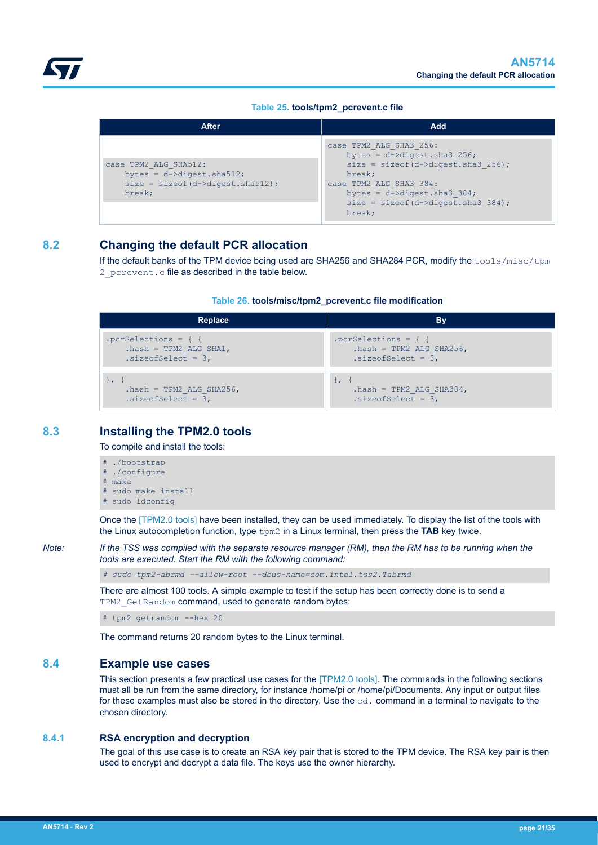## **Table 25. tools/tpm2\_pcrevent.c file**

<span id="page-20-0"></span>

| <b>After</b>                                                                                             | Add                                                                                                                                                                                                                                         |
|----------------------------------------------------------------------------------------------------------|---------------------------------------------------------------------------------------------------------------------------------------------------------------------------------------------------------------------------------------------|
| case TPM2 ALG SHA512:<br>bytes = $d$ ->digest.sha512;<br>$size = sizeof(d-\lambda) = this12$ ;<br>break; | case TPM2 ALG SHA3 256:<br>bytes = $d-\lambda$ digest.sha3 256;<br>$size = sizeof(d-\lambda) = this256$ ;<br>break;<br>case TPM2 ALG SHA3 384:<br>bytes = $d-\lambda$ digest.sha3 384;<br>$size = sizeof(d-\lambda) = this3384$ ;<br>break; |

## **8.2 Changing the default PCR allocation**

If the default banks of the TPM device being used are SHA256 and SHA284 PCR, modify the tools/misc/tpm 2 pcrevent.c file as described in the table below.

## **Table 26. tools/misc/tpm2\_pcrevent.c file modification**

| Replace                   | Bv                        |
|---------------------------|---------------------------|
|                           |                           |
| $hash = TPM2 ALG SHA1,$   | $hash = TPM2 ALG SHA256,$ |
| $.size of Select = 3,$    | $.size of Select = 3,$    |
| $hash = TPM2 ALG SHA256,$ | $hash = TPM2 ALG SHA384,$ |
| $.size of Select = 3,$    | $.size of Select = 3,$    |

## **8.3 Installing the TPM2.0 tools**

To compile and install the tools:

# ./bootstrap # ./configure # make # sudo make install # sudo ldconfig

Once the [\[TPM2.0 tools\]](#page-1-0) have been installed, they can be used immediately. To display the list of the tools with the Linux autocompletion function, type tpm2 in a Linux terminal, then press the **TAB** key twice.

*Note: If the TSS was compiled with the separate resource manager (RM), then the RM has to be running when the tools are executed. Start the RM with the following command:*

*# sudo tpm2-abrmd –-allow-root --dbus-name=com.intel.tss2.Tabrmd*

There are almost 100 tools. A simple example to test if the setup has been correctly done is to send a TPM2 GetRandom command, used to generate random bytes:

# tpm2 getrandom --hex 20

The command returns 20 random bytes to the Linux terminal.

## **8.4 Example use cases**

This section presents a few practical use cases for the [\[TPM2.0 tools\].](#page-1-0) The commands in the following sections must all be run from the same directory, for instance /home/pi or /home/pi/Documents. Any input or output files for these examples must also be stored in the directory. Use the cd. command in a terminal to navigate to the chosen directory.

## **8.4.1 RSA encryption and decryption**

The goal of this use case is to create an RSA key pair that is stored to the TPM device. The RSA key pair is then used to encrypt and decrypt a data file. The keys use the owner hierarchy.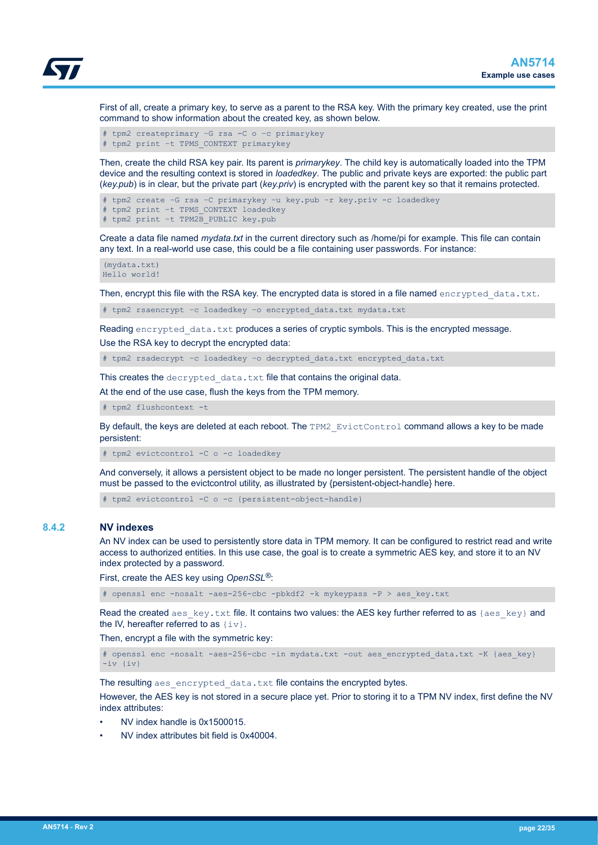<span id="page-21-0"></span>

First of all, create a primary key, to serve as a parent to the RSA key. With the primary key created, use the print command to show information about the created key, as shown below.

# tpm2 createprimary –G rsa -C o –c primarykey # tpm2 print –t TPMS\_CONTEXT primarykey

Then, create the child RSA key pair. Its parent is *primarykey*. The child key is automatically loaded into the TPM device and the resulting context is stored in *loadedkey*. The public and private keys are exported: the public part (*key.pub*) is in clear, but the private part (*key.priv*) is encrypted with the parent key so that it remains protected.

```
# tpm2 create –G rsa –C primarykey –u key.pub –r key.priv -c loadedkey
# tpm2 print –t TPMS_CONTEXT loadedkey
# tpm2 print –t TPM2B_PUBLIC key.pub
```
Create a data file named *mydata.txt* in the current directory such as /home/pi for example. This file can contain any text. In a real-world use case, this could be a file containing user passwords. For instance:

```
(mydata.txt)
Hello world!
```
Then, encrypt this file with the RSA key. The encrypted data is stored in a file named encrypted data.txt.

# tpm2 rsaencrypt –c loadedkey –o encrypted\_data.txt mydata.txt

Reading encrypted data.txt produces a series of cryptic symbols. This is the encrypted message. Use the RSA key to decrypt the encrypted data:

# tpm2 rsadecrypt –c loadedkey –o decrypted\_data.txt encrypted\_data.txt

This creates the decrypted data.txt file that contains the original data.

At the end of the use case, flush the keys from the TPM memory.

# tpm2 flushcontext -t

By default, the keys are deleted at each reboot. The TPM2 EvictControl command allows a key to be made persistent:

# tpm2 evictcontrol -C o -c loadedkey

And conversely, it allows a persistent object to be made no longer persistent. The persistent handle of the object must be passed to the evictcontrol utility, as illustrated by {persistent-object-handle} here.

# tpm2 evictcontrol -C o -c {persistent-object-handle}

## **8.4.2 NV indexes**

An NV index can be used to persistently store data in TPM memory. It can be configured to restrict read and write access to authorized entities. In this use case, the goal is to create a symmetric AES key, and store it to an NV index protected by a password.

First, create the AES key using *OpenSSL®*:

# openssl enc -nosalt -aes-256-cbc -pbkdf2 -k mykeypass -P > aes key.txt

Read the created aes  $key.txt$  file. It contains two values: the AES key further referred to as {aes key} and the IV, hereafter referred to as  $\{iv\}$ .

Then, encrypt a file with the symmetric key:

```
# openssl enc -nosalt -aes-256-cbc -in mydata.txt -out aes encrypted data.txt -K {aes key}
-iv {iv}
```
The resulting aes encrypted data.txt file contains the encrypted bytes.

However, the AES key is not stored in a secure place yet. Prior to storing it to a TPM NV index, first define the NV index attributes:

- NV index handle is 0x1500015.
- NV index attributes bit field is 0x40004.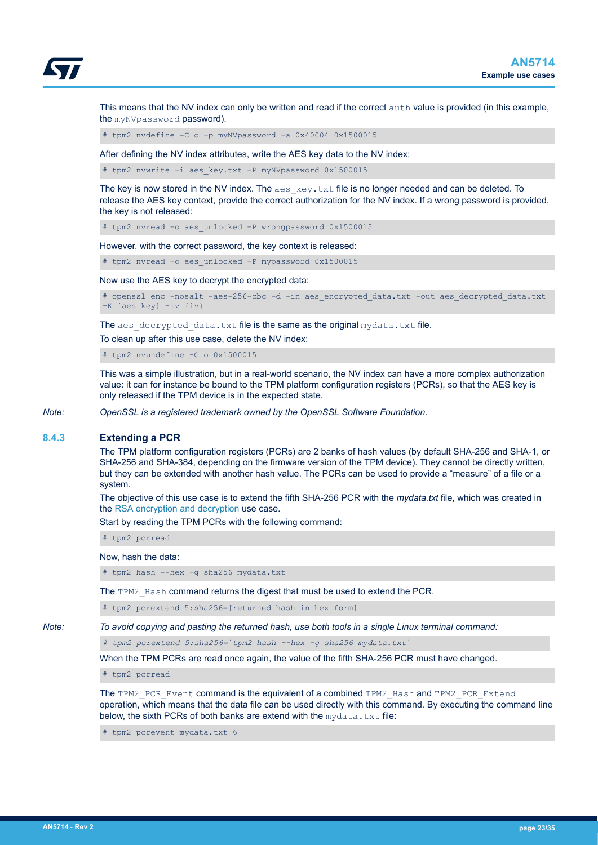<span id="page-22-0"></span>

This means that the NV index can only be written and read if the correct auth value is provided (in this example, the myNVpassword password).

# tpm2 nvdefine -C o –p myNVpassword –a 0x40004 0x1500015

After defining the NV index attributes, write the AES key data to the NV index:

# tpm2 nvwrite –i aes\_key.txt –P myNVpassword 0x1500015

The key is now stored in the NV index. The  $\alpha$ es  $\kappa$ ey.txt file is no longer needed and can be deleted. To release the AES key context, provide the correct authorization for the NV index. If a wrong password is provided, the key is not released:

# tpm2 nvread –o aes\_unlocked –P wrongpassword 0x1500015

However, with the correct password, the key context is released:

# tpm2 nvread –o aes\_unlocked –P mypassword 0x1500015

Now use the AES key to decrypt the encrypted data:

# openssl enc -nosalt -aes-256-cbc -d -in aes encrypted data.txt -out aes decrypted data.txt -K {aes\_key} -iv {iv}

The aes decrypted data.txt file is the same as the original mydata.txt file.

To clean up after this use case, delete the NV index:

# tpm2 nvundefine -C o 0x1500015

This was a simple illustration, but in a real-world scenario, the NV index can have a more complex authorization value: it can for instance be bound to the TPM platform configuration registers (PCRs), so that the AES key is only released if the TPM device is in the expected state.

*Note: OpenSSL is a registered trademark owned by the OpenSSL Software Foundation.*

## **8.4.3 Extending a PCR**

The TPM platform configuration registers (PCRs) are 2 banks of hash values (by default SHA-256 and SHA-1, or SHA-256 and SHA-384, depending on the firmware version of the TPM device). They cannot be directly written, but they can be extended with another hash value. The PCRs can be used to provide a "measure" of a file or a system.

The objective of this use case is to extend the fifth SHA-256 PCR with the *mydata.txt* file, which was created in the [RSA encryption and decryption](#page-20-0) use case.

Start by reading the TPM PCRs with the following command:

# tpm2 pcrread

Now, hash the data:

# tpm2 hash --hex –g sha256 mydata.txt

The TPM2\_Hash command returns the digest that must be used to extend the PCR.

# tpm2 pcrextend 5:sha256=[returned hash in hex form]

*Note: To avoid copying and pasting the returned hash, use both tools in a single Linux terminal command:*

*# tpm2 pcrextend 5:sha256=`tpm2 hash --hex –g sha256 mydata.txt`*

When the TPM PCRs are read once again, the value of the fifth SHA-256 PCR must have changed.

# tpm2 pcrread

The TPM2\_PCR\_Event command is the equivalent of a combined TPM2\_Hash and TPM2\_PCR\_Extend operation, which means that the data file can be used directly with this command. By executing the command line below, the sixth PCRs of both banks are extend with the  $m$  vdata, txt file:

tpm2 pcrevent mydata.txt 6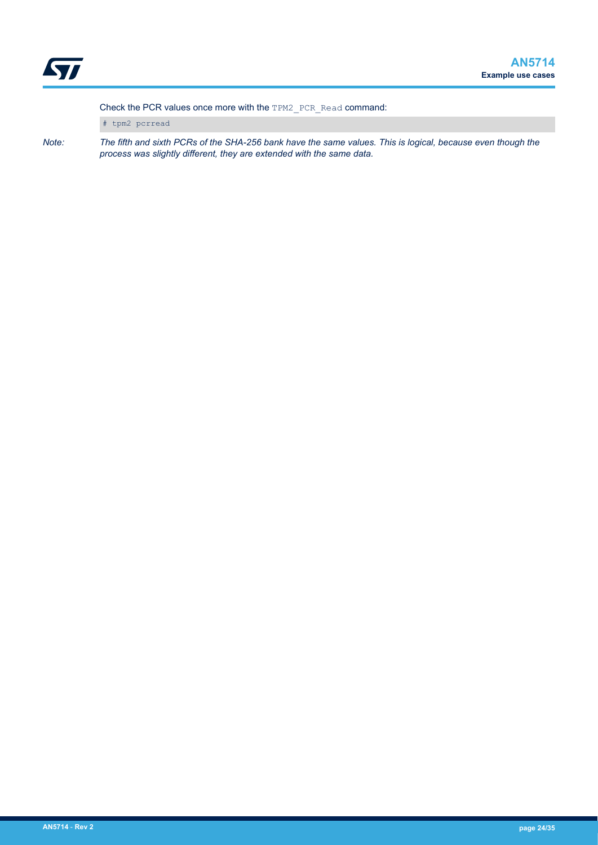Check the PCR values once more with the TPM2\_PCR\_Read command:

# tpm2 pcrread

*Note: The fifth and sixth PCRs of the SHA-256 bank have the same values. This is logical, because even though the process was slightly different, they are extended with the same data.*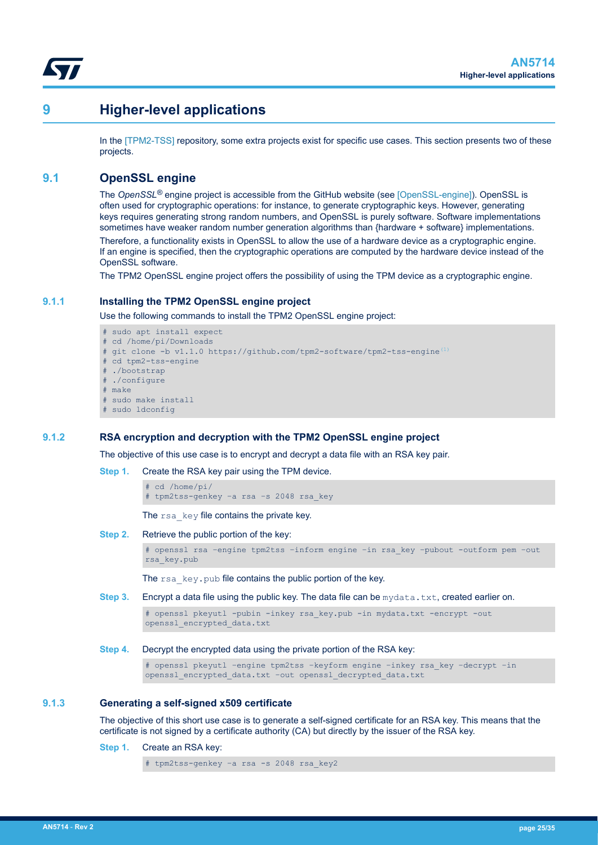<span id="page-24-0"></span>

## **9 Higher-level applications**

In the [\[TPM2-TSS\]](#page-1-0) repository, some extra projects exist for specific use cases. This section presents two of these projects.

## **9.1 OpenSSL engine**

The *OpenSSL®* engine project is accessible from the GitHub website (see [\[OpenSSL-engine\]\)](#page-1-0). OpenSSL is often used for cryptographic operations: for instance, to generate cryptographic keys. However, generating keys requires generating strong random numbers, and OpenSSL is purely software. Software implementations sometimes have weaker random number generation algorithms than {hardware + software} implementations.

Therefore, a functionality exists in OpenSSL to allow the use of a hardware device as a cryptographic engine. If an engine is specified, then the cryptographic operations are computed by the hardware device instead of the OpenSSL software.

The TPM2 OpenSSL engine project offers the possibility of using the TPM device as a cryptographic engine.

## **9.1.1 Installing the TPM2 OpenSSL engine project**

Use the following commands to install the TPM2 OpenSSL engine project:

- # sudo apt install expect # cd /home/pi/Downloads # git clone -b v1.1.0 https://github.com/tpm2-software/tpm2-tss-engine<sup>[\(1\)](#page-1-0)</sup> # cd tpm2-tss-engine # ./bootstrap
- ./configure
- # make
- # sudo make install
- sudo ldconfig

## **9.1.2 RSA encryption and decryption with the TPM2 OpenSSL engine project**

The objective of this use case is to encrypt and decrypt a data file with an RSA key pair.

**Step 1.** Create the RSA key pair using the TPM device.

# cd /home/pi/ # tpm2tss-genkey –a rsa –s 2048 rsa\_key

The rsa\_key file contains the private key.

**Step 2.** Retrieve the public portion of the key:

# openssl rsa –engine tpm2tss –inform engine –in rsa\_key –pubout -outform pem –out rsa\_key.pub

The rsa\_key.pub file contains the public portion of the key.

**Step 3.** Encrypt a data file using the public key. The data file can be mydata.txt, created earlier on.

```
# openssl pkeyutl -pubin -inkey rsa key.pub -in mydata.txt -encrypt -out
openssl_encrypted_data.txt
```
**Step 4.** Decrypt the encrypted data using the private portion of the RSA key:

# openssl pkeyutl –engine tpm2tss –keyform engine –inkey rsa\_key –decrypt –in openssl\_encrypted\_data.txt –out openssl\_decrypted\_data.txt

#### **9.1.3 Generating a self-signed x509 certificate**

The objective of this short use case is to generate a self-signed certificate for an RSA key. This means that the certificate is not signed by a certificate authority (CA) but directly by the issuer of the RSA key.

**Step 1.** Create an RSA key:

# tpm2tss-genkey –a rsa -s 2048 rsa\_key2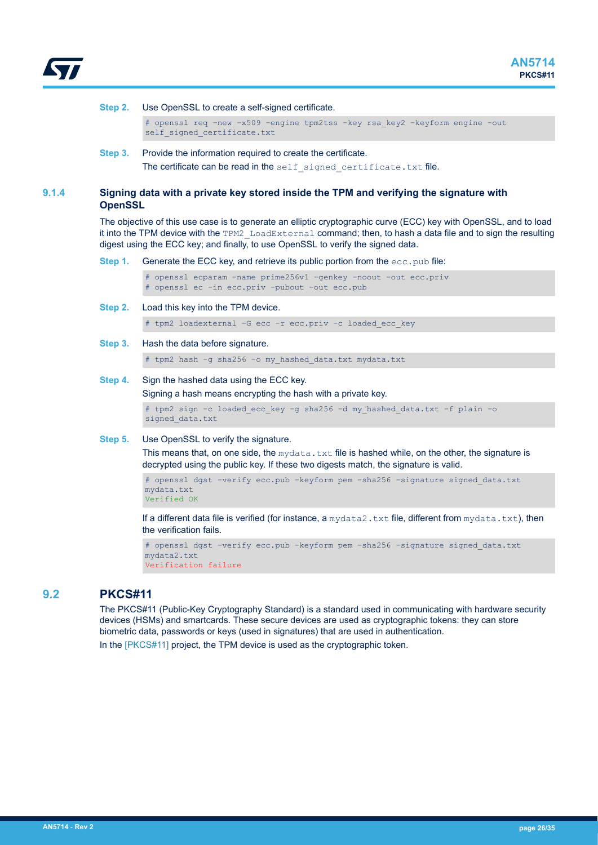<span id="page-25-0"></span>

#### **Step 2.** Use OpenSSL to create a self-signed certificate.

# openssl req –new –x509 –engine tpm2tss –key rsa\_key2 –keyform engine –out self signed certificate.txt

**Step 3.** Provide the information required to create the certificate. The certificate can be read in the self signed certificate.txt file.

## **9.1.4 Signing data with a private key stored inside the TPM and verifying the signature with OpenSSL**

The objective of this use case is to generate an elliptic cryptographic curve (ECC) key with OpenSSL, and to load it into the TPM device with the TPM2 LoadExternal command; then, to hash a data file and to sign the resulting digest using the ECC key; and finally, to use OpenSSL to verify the signed data.

**Step 1.** Generate the ECC key, and retrieve its public portion from the ecc.pub file:

# openssl ecparam –name prime256v1 –genkey –noout –out ecc.priv # openssl ec –in ecc.priv –pubout –out ecc.pub

**Step 2.** Load this key into the TPM device.

# tpm2 loadexternal –G ecc –r ecc.priv –c loaded\_ecc\_key

**Step 3.** Hash the data before signature.

# tpm2 hash –g sha256 –o my\_hashed\_data.txt mydata.txt

#### **Step 4.** Sign the hashed data using the ECC key.

Signing a hash means encrypting the hash with a private key.

```
# tpm2 sign –c loaded_ecc_key –g sha256 –d my_hashed_data.txt –f plain –o 
signed_data.txt
```
#### **Step 5.** Use OpenSSL to verify the signature.

This means that, on one side, the mydata.txt file is hashed while, on the other, the signature is decrypted using the public key. If these two digests match, the signature is valid.

```
# openssl dgst –verify ecc.pub –keyform pem –sha256 –signature signed_data.txt 
mydata.txt
Verified OK
```
If a different data file is verified (for instance, a  $m$ ydata2.txt file, different from  $m$ ydata.txt), then the verification fails.

# openssl dgst –verify ecc.pub –keyform pem –sha256 –signature signed\_data.txt mydata2.txt Verification failure

## **9.2 PKCS#11**

The PKCS#11 (Public-Key Cryptography Standard) is a standard used in communicating with hardware security devices (HSMs) and smartcards. These secure devices are used as cryptographic tokens: they can store biometric data, passwords or keys (used in signatures) that are used in authentication. In the [\[PKCS#11\]](#page-1-0) project, the TPM device is used as the cryptographic token.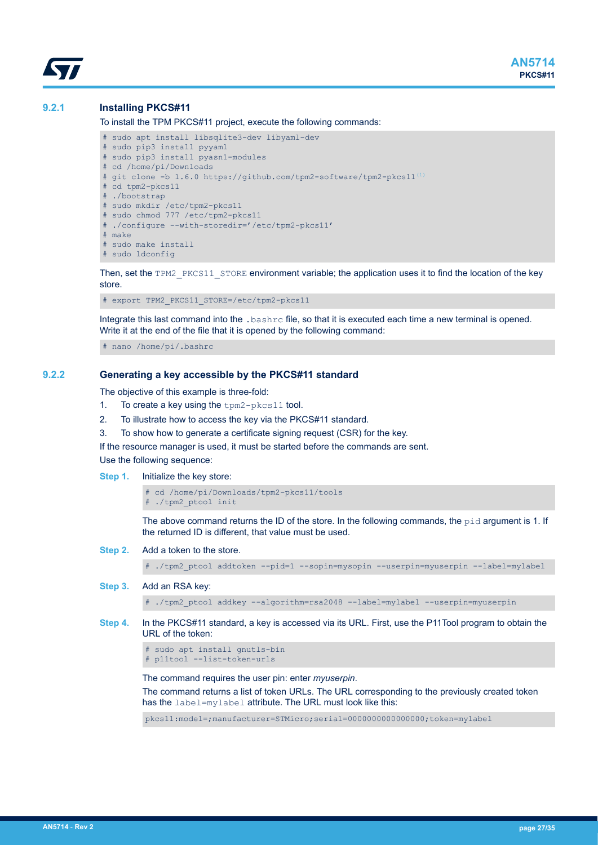## <span id="page-26-0"></span>**9.2.1 Installing PKCS#11**

To install the TPM PKCS#11 project, execute the following commands:

```
# sudo apt install libsqlite3-dev libyaml-dev 
# sudo pip3 install pyyaml
# sudo pip3 install pyasn1-modules
# cd /home/pi/Downloads
# git clone -b 1.6.0(1)</sup>
# cd tpm2-pkcs11
 ./bootstrap
# sudo mkdir /etc/tpm2-pkcs11
# sudo chmod 777 /etc/tpm2-pkcs11
# ./configure --with-storedir='/etc/tpm2-pkcs11'
# make
# sudo make install
# sudo ldconfig
```
Then, set the TPM2\_PKCS11\_STORE environment variable; the application uses it to find the location of the key store.

# export TPM2\_PKCS11\_STORE=/etc/tpm2-pkcs11

Integrate this last command into the .bashrc file, so that it is executed each time a new terminal is opened. Write it at the end of the file that it is opened by the following command:

# nano /home/pi/.bashrc

#### **9.2.2 Generating a key accessible by the PKCS#11 standard**

The objective of this example is three-fold:

- 1. To create a key using the tpm2-pkcs11 tool.
- 2. To illustrate how to access the key via the PKCS#11 standard.
- 3. To show how to generate a certificate signing request (CSR) for the key.

If the resource manager is used, it must be started before the commands are sent. Use the following sequence:

**Step 1.** Initialize the key store:

# cd /home/pi/Downloads/tpm2-pkcs11/tools # ./tpm2\_ptool init

The above command returns the ID of the store. In the following commands, the  $pid$  argument is 1. If the returned ID is different, that value must be used.

**Step 2.** Add a token to the store.

# ./tpm2\_ptool addtoken --pid=1 --sopin=mysopin --userpin=myuserpin --label=mylabel

**Step 3.** Add an RSA key:

# ./tpm2\_ptool addkey --algorithm=rsa2048 --label=mylabel --userpin=myuserpin

**Step 4.** In the PKCS#11 standard, a key is accessed via its URL. First, use the P11Tool program to obtain the URL of the token:

# sudo apt install gnutls-bin # p11tool --list-token-urls

The command requires the user pin: enter *myuserpin*.

The command returns a list of token URLs. The URL corresponding to the previously created token has the label=mylabel attribute. The URL must look like this:

pkcs11:model=;manufacturer=STMicro;serial=0000000000000000;token=mylabel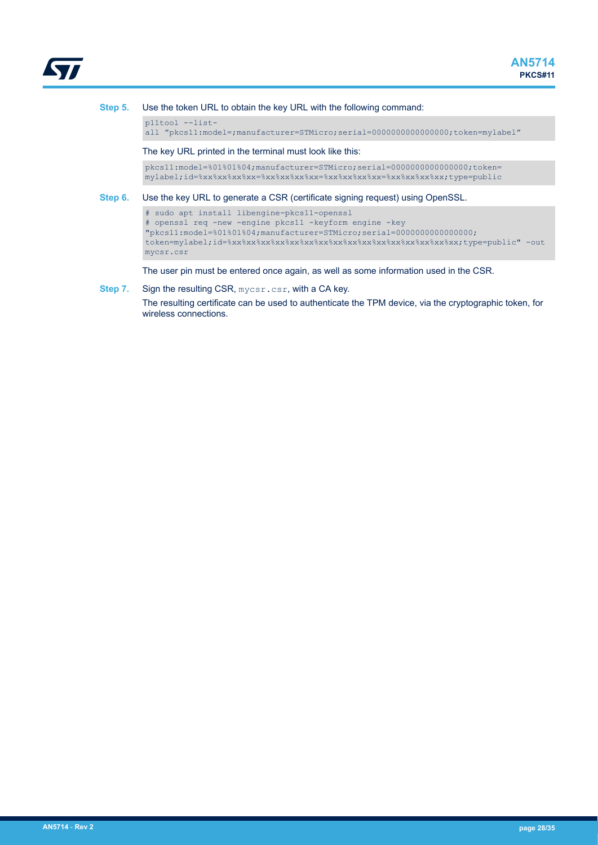

**Step 5.** Use the token URL to obtain the key URL with the following command:

p11tool --listall "pkcs11:model=;manufacturer=STMicro;serial=0000000000000000;token=mylabel"

The key URL printed in the terminal must look like this:

pkcs11:model=%01%01%04;manufacturer=STMicro;serial=0000000000000000;token= mylabel;id=%xx%xx%xx%xx=%xx%xx%xx%xx=%xx%xx%xx%xx=%xx%xx%xx%xx;type=public

**Step 6.** Use the key URL to generate a CSR (certificate signing request) using OpenSSL.

```
# sudo apt install libengine-pkcs11-openssl
# openssl req -new -engine pkcs11 -keyform engine -key 
"pkcs11:model=%01%01%04;manufacturer=STMicro;serial=0000000000000000;
token=mylabel;id=%xx%xx%xx%xx%xx%xx%xx%xx%xx%xx%xx%xx%xx%xx%xx%xx;type=public" -out 
mycsr.csr
```
The user pin must be entered once again, as well as some information used in the CSR.

**Step 7.** Sign the resulting CSR, mycsr.csr, with a CA key.

The resulting certificate can be used to authenticate the TPM device, via the cryptographic token, for wireless connections.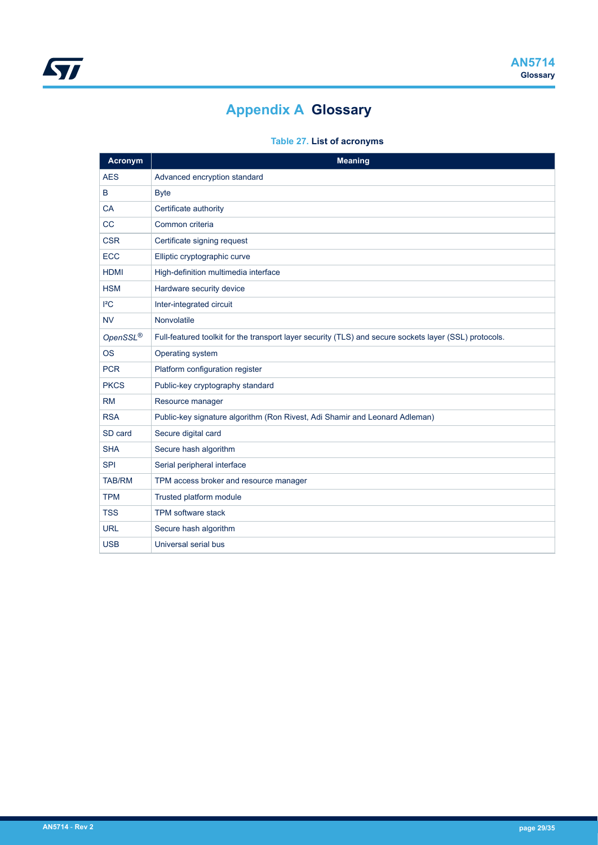# **Appendix A Glossary**

## **Table 27. List of acronyms**

<span id="page-28-0"></span>

| <b>Acronym</b>       | <b>Meaning</b>                                                                                         |
|----------------------|--------------------------------------------------------------------------------------------------------|
| <b>AES</b>           | Advanced encryption standard                                                                           |
| B                    | <b>Byte</b>                                                                                            |
| <b>CA</b>            | Certificate authority                                                                                  |
| CC                   | Common criteria                                                                                        |
| <b>CSR</b>           | Certificate signing request                                                                            |
| <b>ECC</b>           | Elliptic cryptographic curve                                                                           |
| <b>HDMI</b>          | High-definition multimedia interface                                                                   |
| <b>HSM</b>           | Hardware security device                                                                               |
| ${}^{12}C$           | Inter-integrated circuit                                                                               |
| <b>NV</b>            | Nonvolatile                                                                                            |
| OpenSSL <sup>®</sup> | Full-featured toolkit for the transport layer security (TLS) and secure sockets layer (SSL) protocols. |
| <b>OS</b>            | Operating system                                                                                       |
| <b>PCR</b>           | Platform configuration register                                                                        |
| <b>PKCS</b>          | Public-key cryptography standard                                                                       |
| <b>RM</b>            | Resource manager                                                                                       |
| <b>RSA</b>           | Public-key signature algorithm (Ron Rivest, Adi Shamir and Leonard Adleman)                            |
| SD card              | Secure digital card                                                                                    |
| <b>SHA</b>           | Secure hash algorithm                                                                                  |
| <b>SPI</b>           | Serial peripheral interface                                                                            |
| <b>TAB/RM</b>        | TPM access broker and resource manager                                                                 |
| <b>TPM</b>           | Trusted platform module                                                                                |
| <b>TSS</b>           | <b>TPM software stack</b>                                                                              |
| <b>URL</b>           | Secure hash algorithm                                                                                  |
| <b>USB</b>           | Universal serial bus                                                                                   |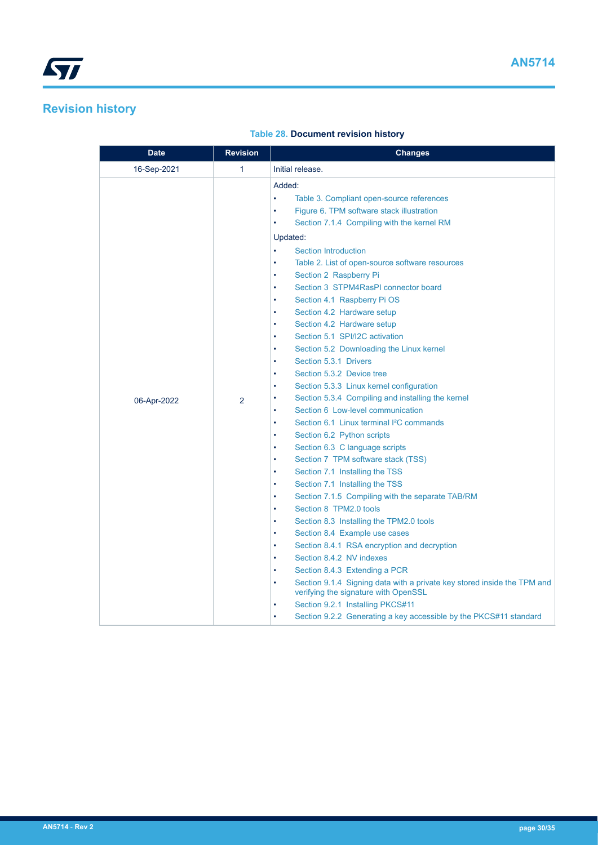# <span id="page-29-0"></span> $\sqrt{2}$

## **Revision history**

## **Table 28. Document revision history**

| Date        | <b>Revision</b> | <b>Changes</b>                                                                                                                                                                                                                                                                                                                                                                                                                                                                                                                                                                                                                                                                                                                                                                                                                                                                                                                                                                                                                                                                                                 |
|-------------|-----------------|----------------------------------------------------------------------------------------------------------------------------------------------------------------------------------------------------------------------------------------------------------------------------------------------------------------------------------------------------------------------------------------------------------------------------------------------------------------------------------------------------------------------------------------------------------------------------------------------------------------------------------------------------------------------------------------------------------------------------------------------------------------------------------------------------------------------------------------------------------------------------------------------------------------------------------------------------------------------------------------------------------------------------------------------------------------------------------------------------------------|
| 16-Sep-2021 | $\mathbf{1}$    | Initial release.                                                                                                                                                                                                                                                                                                                                                                                                                                                                                                                                                                                                                                                                                                                                                                                                                                                                                                                                                                                                                                                                                               |
|             |                 | Added:<br>$\bullet$<br>Table 3. Compliant open-source references<br>Figure 6. TPM software stack illustration<br>$\bullet$<br>Section 7.1.4 Compiling with the kernel RM<br>$\bullet$<br>Updated:<br><b>Section Introduction</b><br>$\bullet$<br>Table 2. List of open-source software resources<br>$\bullet$<br>Section 2 Raspberry Pi<br>$\bullet$<br>Section 3 STPM4RasPI connector board<br>$\bullet$<br>Section 4.1 Raspberry Pi OS<br>$\bullet$<br>Section 4.2 Hardware setup<br>$\bullet$<br>Section 4.2 Hardware setup<br>$\bullet$<br>Section 5.1 SPI/I2C activation<br>$\bullet$<br>Section 5.2 Downloading the Linux kernel<br>٠                                                                                                                                                                                                                                                                                                                                                                                                                                                                    |
| 06-Apr-2022 | $\overline{2}$  | Section 5.3.1 Drivers<br>٠<br>Section 5.3.2 Device tree<br>٠<br>Section 5.3.3 Linux kernel configuration<br>$\bullet$<br>Section 5.3.4 Compiling and installing the kernel<br>٠<br>Section 6 Low-level communication<br>$\bullet$<br>Section 6.1 Linux terminal <sup>2</sup> C commands<br>$\bullet$<br>Section 6.2 Python scripts<br>$\bullet$<br>Section 6.3 C language scripts<br>$\bullet$<br>Section 7 TPM software stack (TSS)<br>$\bullet$<br>Section 7.1 Installing the TSS<br>$\bullet$<br>Section 7.1 Installing the TSS<br>٠<br>Section 7.1.5 Compiling with the separate TAB/RM<br>$\bullet$<br>Section 8 TPM2.0 tools<br>٠<br>Section 8.3 Installing the TPM2.0 tools<br>٠<br>Section 8.4 Example use cases<br>٠<br>Section 8.4.1 RSA encryption and decryption<br>Section 8.4.2 NV indexes<br>٠<br>Section 8.4.3 Extending a PCR<br>$\bullet$<br>Section 9.1.4 Signing data with a private key stored inside the TPM and<br>$\bullet$<br>verifying the signature with OpenSSL<br>Section 9.2.1 Installing PKCS#11<br>٠<br>Section 9.2.2 Generating a key accessible by the PKCS#11 standard<br>٠ |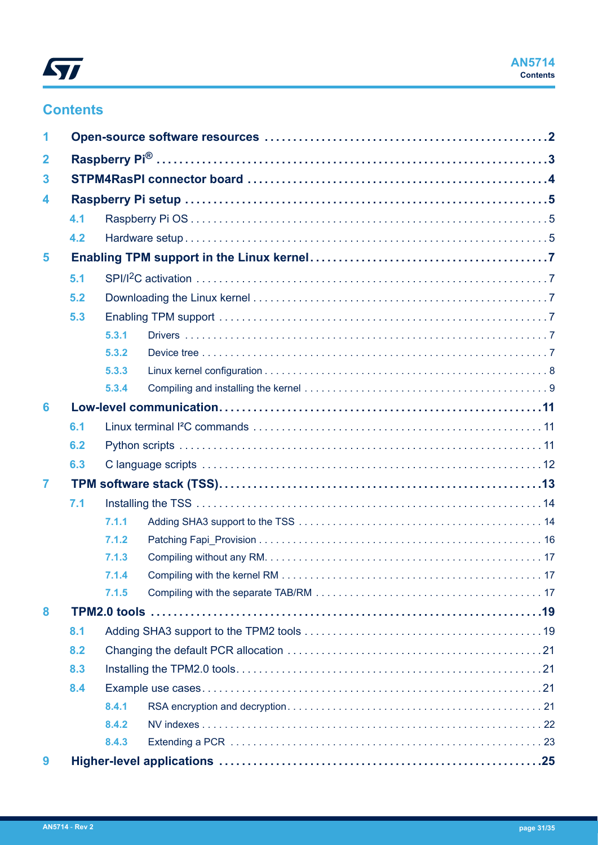

## **Contents**

| 1              |     |       |    |
|----------------|-----|-------|----|
| $\mathbf{2}$   |     |       |    |
| 3              |     |       |    |
| 4              |     |       |    |
|                | 4.1 |       |    |
|                | 4.2 |       |    |
| 5              |     |       |    |
|                | 5.1 |       |    |
|                | 5.2 |       |    |
|                | 5.3 |       |    |
|                |     | 5.3.1 |    |
|                |     | 5.3.2 |    |
|                |     | 5.3.3 |    |
|                |     | 5.3.4 |    |
| 6              |     |       |    |
|                | 6.1 |       |    |
|                | 6.2 |       |    |
|                | 6.3 |       |    |
| $\overline{7}$ |     |       |    |
|                | 7.1 |       |    |
|                |     | 7.1.1 |    |
|                |     | 7.1.2 |    |
|                |     | 7.1.3 |    |
|                |     | 7.1.4 | 17 |
|                |     | 7.1.5 |    |
| 8              |     |       |    |
|                | 8.1 |       |    |
|                | 8.2 |       |    |
| 8.3            |     |       |    |
|                | 8.4 |       |    |
|                |     | 8.4.1 |    |
|                |     | 8.4.2 |    |
|                |     | 8.4.3 |    |
| 9              |     |       |    |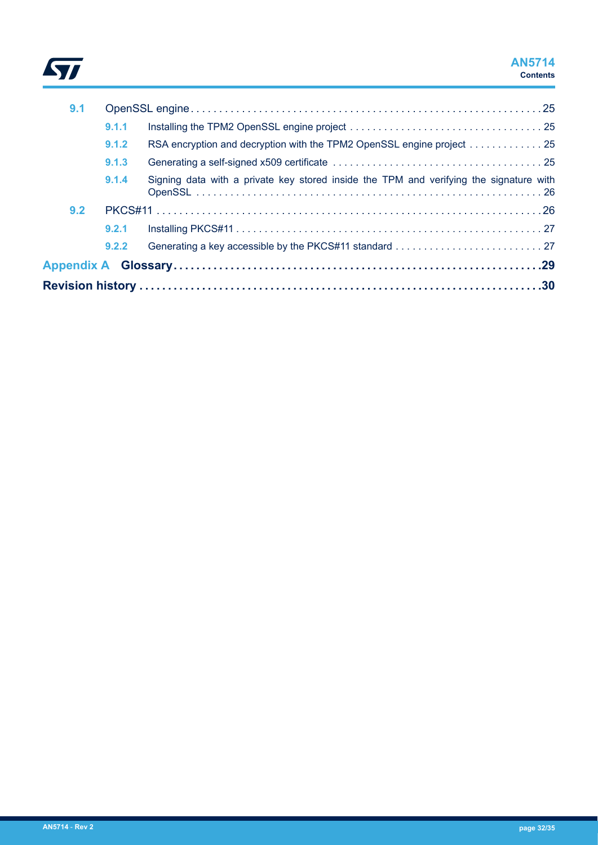

## **AN5714 Contents**

| 9.1 |       |                                                                                        |  |
|-----|-------|----------------------------------------------------------------------------------------|--|
|     | 9.1.1 |                                                                                        |  |
|     | 9.1.2 | RSA encryption and decryption with the TPM2 OpenSSL engine project 25                  |  |
|     | 9.1.3 |                                                                                        |  |
|     | 9.1.4 | Signing data with a private key stored inside the TPM and verifying the signature with |  |
| 9.2 |       |                                                                                        |  |
|     | 9.2.1 |                                                                                        |  |
|     | 9.2.2 |                                                                                        |  |
|     |       |                                                                                        |  |
|     |       |                                                                                        |  |
|     |       |                                                                                        |  |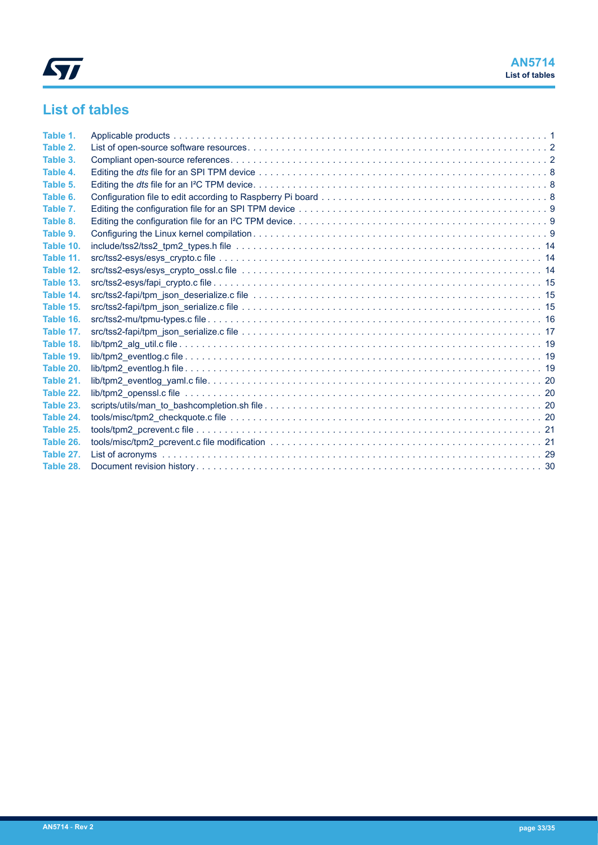

# **List of tables**

| Table 1.  |  |
|-----------|--|
| Table 2.  |  |
| Table 3.  |  |
| Table 4.  |  |
| Table 5.  |  |
| Table 6.  |  |
| Table 7.  |  |
| Table 8.  |  |
| Table 9.  |  |
| Table 10. |  |
| Table 11. |  |
| Table 12. |  |
| Table 13. |  |
| Table 14. |  |
| Table 15. |  |
| Table 16. |  |
| Table 17. |  |
| Table 18. |  |
| Table 19. |  |
| Table 20. |  |
| Table 21. |  |
| Table 22. |  |
| Table 23. |  |
| Table 24. |  |
| Table 25. |  |
| Table 26. |  |
| Table 27. |  |
| Table 28. |  |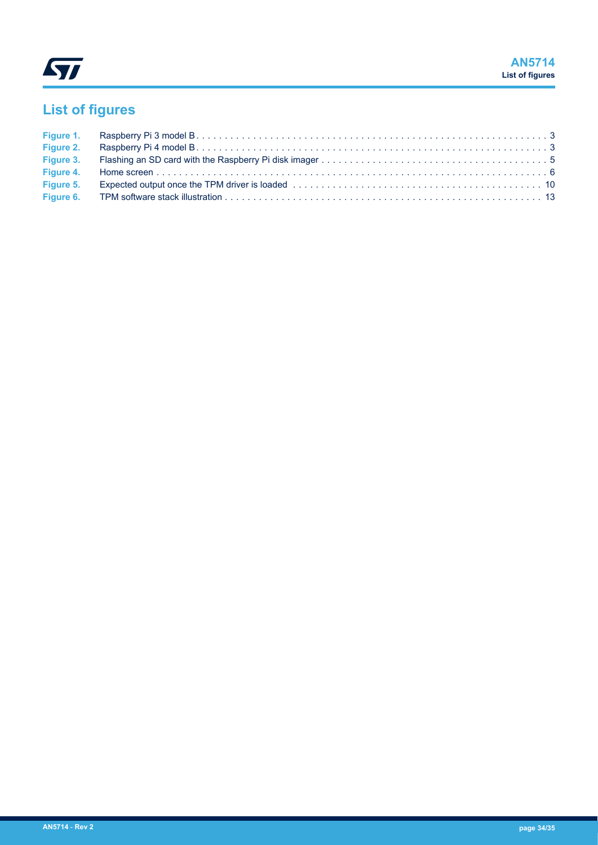

# **List of figures**